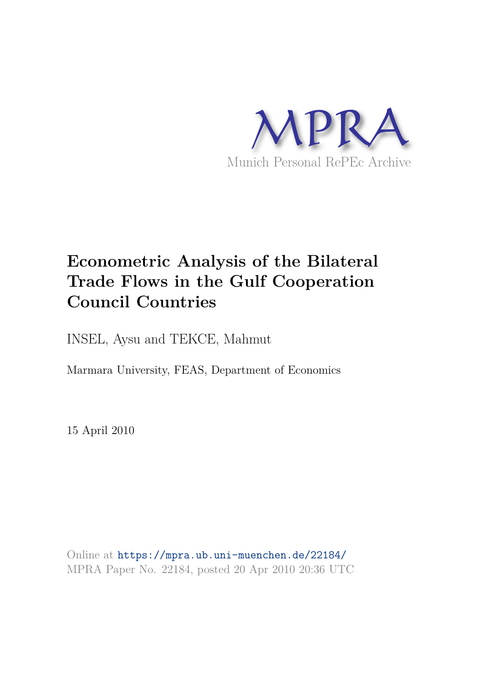

# **Econometric Analysis of the Bilateral Trade Flows in the Gulf Cooperation Council Countries**

INSEL, Aysu and TEKCE, Mahmut

Marmara University, FEAS, Department of Economics

15 April 2010

Online at https://mpra.ub.uni-muenchen.de/22184/ MPRA Paper No. 22184, posted 20 Apr 2010 20:36 UTC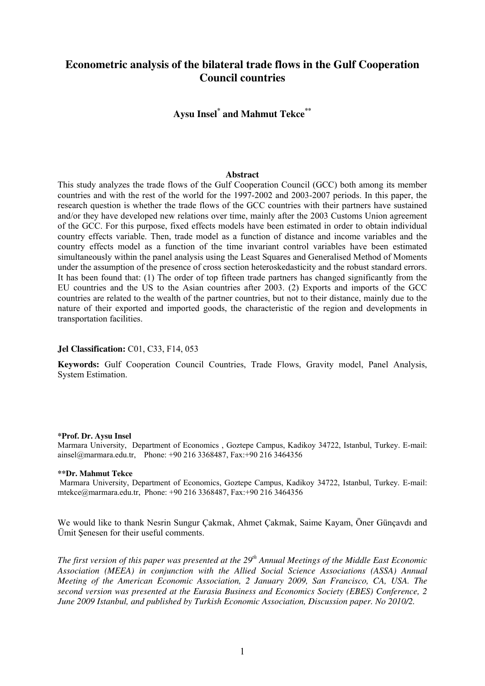# **Econometric analysis of the bilateral trade flows in the Gulf Cooperation Council countries**

# **Aysu Insel\* and Mahmut Tekce\*\***

# **Abstract**

This study analyzes the trade flows of the Gulf Cooperation Council (GCC) both among its member countries and with the rest of the world for the 1997-2002 and 2003-2007 periods. In this paper, the research question is whether the trade flows of the GCC countries with their partners have sustained and/or they have developed new relations over time, mainly after the 2003 Customs Union agreement of the GCC. For this purpose, fixed effects models have been estimated in order to obtain individual country effects variable. Then, trade model as a function of distance and income variables and the country effects model as a function of the time invariant control variables have been estimated simultaneously within the panel analysis using the Least Squares and Generalised Method of Moments under the assumption of the presence of cross section heteroskedasticity and the robust standard errors. It has been found that: (1) The order of top fifteen trade partners has changed significantly from the EU countries and the US to the Asian countries after 2003. (2) Exports and imports of the GCC countries are related to the wealth of the partner countries, but not to their distance, mainly due to the nature of their exported and imported goods, the characteristic of the region and developments in transportation facilities.

## **Jel Classification:** C01, C33, F14, 053

**Keywords:** Gulf Cooperation Council Countries, Trade Flows, Gravity model, Panel Analysis, System Estimation.

#### **\*Prof. Dr. Aysu Insel**

Marmara University, Department of Economics , Goztepe Campus, Kadikoy 34722, Istanbul, Turkey. E-mail: ainsel@marmara.edu.tr, Phone: +90 216 3368487, Fax:+90 216 3464356

#### **\*\*Dr. Mahmut Tekce**

 Marmara University, Department of Economics, Goztepe Campus, Kadikoy 34722, Istanbul, Turkey. E-mail: mtekce@marmara.edu.tr, Phone: +90 216 3368487, Fax:+90 216 3464356

We would like to thank Nesrin Sungur Çakmak, Ahmet Çakmak, Saime Kayam, Öner Günçavdı and Ümit Şenesen for their useful comments.

*The first version of this paper was presented at the 29th Annual Meetings of the Middle East Economic Association (MEEA) in conjunction with the Allied Social Science Associations (ASSA) Annual Meeting of the American Economic Association, 2 January 2009, San Francisco, CA, USA. The second version was presented at the Eurasia Business and Economics Society (EBES) Conference, 2 June 2009 Istanbul, and published by Turkish Economic Association, Discussion paper. No 2010/2.*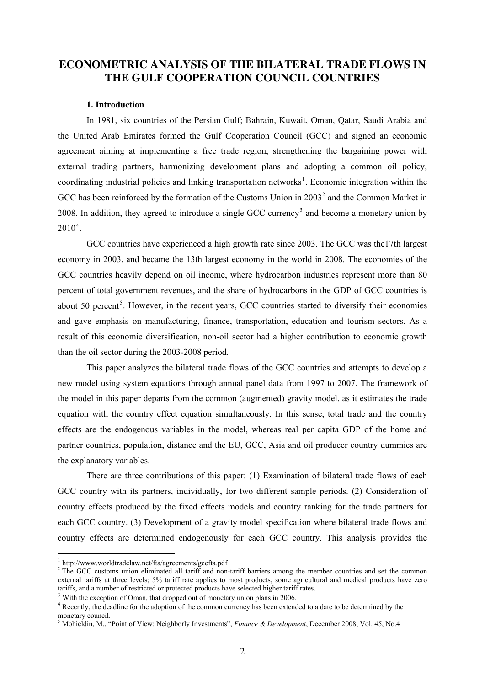# **ECONOMETRIC ANALYSIS OF THE BILATERAL TRADE FLOWS IN THE GULF COOPERATION COUNCIL COUNTRIES**

# **1. Introduction**

In 1981, six countries of the Persian Gulf; Bahrain, Kuwait, Oman, Qatar, Saudi Arabia and the United Arab Emirates formed the Gulf Cooperation Council (GCC) and signed an economic agreement aiming at implementing a free trade region, strengthening the bargaining power with external trading partners, harmonizing development plans and adopting a common oil policy, coordinating industrial policies and linking transportation networks<sup>[1](#page-2-0)</sup>. Economic integration within the GCC has been reinforced by the formation of the Customs Union in  $2003<sup>2</sup>$  $2003<sup>2</sup>$  and the Common Market in 2008. In addition, they agreed to introduce a single GCC currency<sup>[3](#page-2-2)</sup> and become a monetary union by  $2010^4$  $2010^4$ .

GCC countries have experienced a high growth rate since 2003. The GCC was the17th largest economy in 2003, and became the 13th largest economy in the world in 2008. The economies of the GCC countries heavily depend on oil income, where hydrocarbon industries represent more than 80 percent of total government revenues, and the share of hydrocarbons in the GDP of GCC countries is about [5](#page-2-4)0 percent<sup>5</sup>. However, in the recent years, GCC countries started to diversify their economies and gave emphasis on manufacturing, finance, transportation, education and tourism sectors. As a result of this economic diversification, non-oil sector had a higher contribution to economic growth than the oil sector during the 2003-2008 period.

This paper analyzes the bilateral trade flows of the GCC countries and attempts to develop a new model using system equations through annual panel data from 1997 to 2007. The framework of the model in this paper departs from the common (augmented) gravity model, as it estimates the trade equation with the country effect equation simultaneously. In this sense, total trade and the country effects are the endogenous variables in the model, whereas real per capita GDP of the home and partner countries, population, distance and the EU, GCC, Asia and oil producer country dummies are the explanatory variables.

There are three contributions of this paper: (1) Examination of bilateral trade flows of each GCC country with its partners, individually, for two different sample periods. (2) Consideration of country effects produced by the fixed effects models and country ranking for the trade partners for each GCC country. (3) Development of a gravity model specification where bilateral trade flows and country effects are determined endogenously for each GCC country. This analysis provides the

<span id="page-2-0"></span><sup>1</sup> http://www.worldtradelaw.net/fta/agreements/gccfta.pdf

<span id="page-2-1"></span><sup>&</sup>lt;sup>2</sup> The GCC customs union eliminated all tariff and non-tariff barriers among the member countries and set the common external tariffs at three levels; 5% tariff rate applies to most products, some agricultural and medical products have zero tariffs, and a number of restricted or protected products have selected higher tariff rates.

<span id="page-2-2"></span><sup>&</sup>lt;sup>3</sup> With the exception of Oman, that dropped out of monetary union plans in 2006.

<span id="page-2-3"></span><sup>&</sup>lt;sup>4</sup> Recently, the deadline for the adoption of the common currency has been extended to a date to be determined by the monetary council.

<span id="page-2-4"></span><sup>5</sup> Mohieldin, M., "Point of View: Neighborly Investments", *Finance & Development*, December 2008, Vol. 45, No.4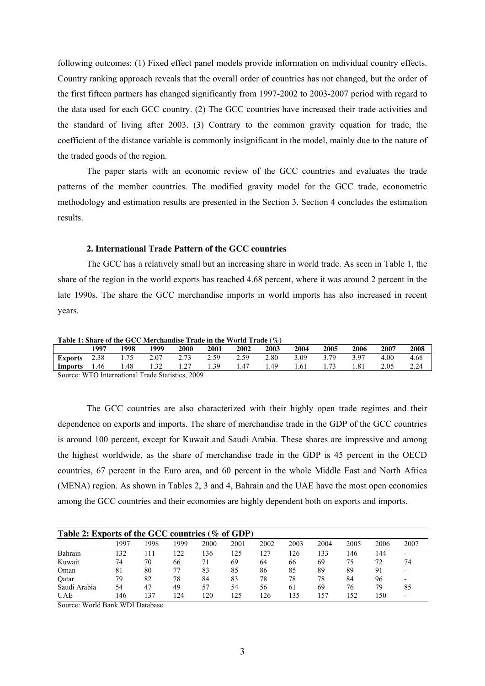following outcomes: (1) Fixed effect panel models provide information on individual country effects. Country ranking approach reveals that the overall order of countries has not changed, but the order of the first fifteen partners has changed significantly from 1997-2002 to 2003-2007 period with regard to the data used for each GCC country. (2) The GCC countries have increased their trade activities and the standard of living after 2003. (3) Contrary to the common gravity equation for trade, the coefficient of the distance variable is commonly insignificant in the model, mainly due to the nature of the traded goods of the region.

The paper starts with an economic review of the GCC countries and evaluates the trade patterns of the member countries. The modified gravity model for the GCC trade, econometric methodology and estimation results are presented in the Section 3. Section 4 concludes the estimation results.

# **2. International Trade Pattern of the GCC countries**

The GCC has a relatively small but an increasing share in world trade. As seen in Table 1, the share of the region in the world exports has reached 4.68 percent, where it was around 2 percent in the late 1990s. The share the GCC merchandise imports in world imports has also increased in recent years.

**Table 1: Share of the GCC Merchandise Trade in the World Trade (%)**

|                | 1997     | 1998 | 1999 | 2000 | 2001 | 2002 | 2003 | 2004 | 2005 | 2006 | 2007 | 2008 |
|----------------|----------|------|------|------|------|------|------|------|------|------|------|------|
| <b>Exports</b> | 2.38     | 1.75 | 2.07 | 2.73 | 2.59 | 2.59 | 2.80 | 3.09 | 3.79 | 397  | 4.00 | 4.68 |
| <b>Imports</b> | 1.46     | 1.48 | 1.32 | 1.27 | 1.39 | 1.47 | . 49 | 1.61 |      | 1.81 | 2.05 | 2.24 |
| $\sim$         | $\cdots$ |      |      |      |      |      |      |      |      |      |      |      |

Source: WTO International Trade Statistics, 2009

The GCC countries are also characterized with their highly open trade regimes and their dependence on exports and imports. The share of merchandise trade in the GDP of the GCC countries is around 100 percent, except for Kuwait and Saudi Arabia. These shares are impressive and among the highest worldwide, as the share of merchandise trade in the GDP is 45 percent in the OECD countries, 67 percent in the Euro area, and 60 percent in the whole Middle East and North Africa (MENA) region. As shown in Tables 2, 3 and 4, Bahrain and the UAE have the most open economies among the GCC countries and their economies are highly dependent both on exports and imports.

| Table 2: Exports of the GCC countries (% of GDP) |      |      |      |                 |      |      |      |      |      |      |                          |
|--------------------------------------------------|------|------|------|-----------------|------|------|------|------|------|------|--------------------------|
|                                                  | 1997 | 1998 | 1999 | 2000            | 2001 | 2002 | 2003 | 2004 | 2005 | 2006 | 2007                     |
| Bahrain                                          | 132  | ۱۱.  | 122  | 136             | 125  | 127  | 126  | 133  | 146  | 144  | $\overline{\phantom{0}}$ |
| Kuwait                                           | 74   | 70   | 66   | 71              | 69   | 64   | 66   | 69   | 75   | 72   | 74                       |
| Oman                                             | 81   | 80   |      | 83              | 85   | 86   | 85   | 89   | 89   | 91   | $\,$                     |
| Oatar                                            | 79   | 82   | 78   | 84              | 83   | 78   | 78   | 78   | 84   | 96   |                          |
| Saudi Arabia                                     | 54   | 47   | 49   | 57              | 54   | 56   | 61   | 69   | 76   | 79   | 85                       |
| UAE                                              | 146  | 37   | 124  | $\overline{20}$ | 125  | 126  | 135  | 157  | 52ء  | .50  | $\overline{\phantom{a}}$ |

Source: World Bank WDI Database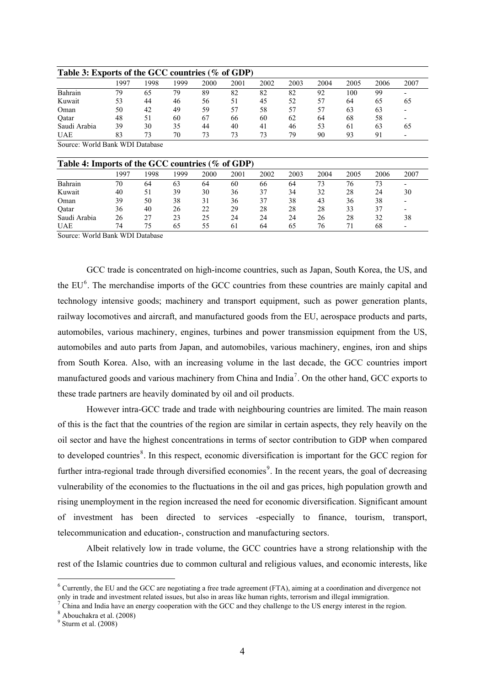| Table 3: Exports of the GCC countries (% of GDP) |      |      |      |      |      |      |      |      |      |      |      |
|--------------------------------------------------|------|------|------|------|------|------|------|------|------|------|------|
|                                                  | 1997 | 1998 | 1999 | 2000 | 2001 | 2002 | 2003 | 2004 | 2005 | 2006 | 2007 |
| Bahrain                                          | 79   | 65   | 79   | 89   | 82   | 82   | 82   | 92   | 100  | 99   |      |
| Kuwait                                           | 53   | 44   | 46   | 56   |      | 45   | 52   | 57   | 64   | 65   | 65   |
| Oman                                             | 50   | 42   | 49   | 59   | 57   | 58   | 57   | 57   | 63   | 63   | $\,$ |
| Oatar                                            | 48   | 51   | 60   | 67   | 66   | 60   | 62   | 64   | 68   | 58   |      |
| Saudi Arabia                                     | 39   | 30   | 35   | 44   | 40   | 41   | 46   | 53   | 61   | 63   | 65   |
| <b>UAE</b>                                       | 83   | 73   | 70   | 73   | 73   | 73   | 79   | 90   | 93   | Q.   | $\,$ |

Source: World Bank WDI Database

| Table 4: Imports of the GCC countries (% of GDP) |      |      |      |      |      |      |      |      |      |      |      |
|--------------------------------------------------|------|------|------|------|------|------|------|------|------|------|------|
|                                                  | 1997 | 1998 | 1999 | 2000 | 2001 | 2002 | 2003 | 2004 | 2005 | 2006 | 2007 |
| Bahrain                                          | 70   | 64   | 63   | 64   | 60   | 66   | 64   | 73   | 76   |      |      |
| Kuwait                                           | 40   | 51   | 39   | 30   | 36   | 37   | 34   | 32   | 28   | 24   | 30   |
| Oman                                             | 39   | 50   | 38   | 31   | 36   | 37   | 38   | 43   | 36   | 38   |      |
| Oatar                                            | 36   | 40   | 26   | 22   | 29   | 28   | 28   | 28   | 33   | 37   |      |
| Saudi Arabia                                     | 26   | 27   | 23   | 25   | 24   | 24   | 24   | 26   | 28   | 32   | 38   |
| <b>UAE</b>                                       | 74   | 75   | 65   | 55   | 61   | 64   | 65   | 76   |      | 68   |      |

Source: World Bank WDI Database

GCC trade is concentrated on high-income countries, such as Japan, South Korea, the US, and the EU<sup>[6](#page-4-0)</sup>. The merchandise imports of the GCC countries from these countries are mainly capital and technology intensive goods; machinery and transport equipment, such as power generation plants, railway locomotives and aircraft, and manufactured goods from the EU, aerospace products and parts, automobiles, various machinery, engines, turbines and power transmission equipment from the US, automobiles and auto parts from Japan, and automobiles, various machinery, engines, iron and ships from South Korea. Also, with an increasing volume in the last decade, the GCC countries import manufactured goods and various machinery from China and India<sup>[7](#page-4-1)</sup>. On the other hand, GCC exports to these trade partners are heavily dominated by oil and oil products.

However intra-GCC trade and trade with neighbouring countries are limited. The main reason of this is the fact that the countries of the region are similar in certain aspects, they rely heavily on the oil sector and have the highest concentrations in terms of sector contribution to GDP when compared to developed countries<sup>[8](#page-4-2)</sup>. In this respect, economic diversification is important for the GCC region for further intra-regional trade through diversified economies<sup>[9](#page-4-3)</sup>. In the recent years, the goal of decreasing vulnerability of the economies to the fluctuations in the oil and gas prices, high population growth and rising unemployment in the region increased the need for economic diversification. Significant amount of investment has been directed to services -especially to finance, tourism, transport, telecommunication and education-, construction and manufacturing sectors.

Albeit relatively low in trade volume, the GCC countries have a strong relationship with the rest of the Islamic countries due to common cultural and religious values, and economic interests, like

<span id="page-4-0"></span> $6$  Currently, the EU and the GCC are negotiating a free trade agreement (FTA), aiming at a coordination and divergence not only in trade and investment related issues, but also in areas like human rights, terrorism and illegal immigration.

<span id="page-4-1"></span> $^7$  China and India have an energy cooperation with the GCC and they challenge to the US energy interest in the region.

<span id="page-4-2"></span><sup>8</sup> Abouchakra et al. (2008)

<span id="page-4-3"></span> $<sup>9</sup>$  Sturm et al.  $(2008)$ </sup>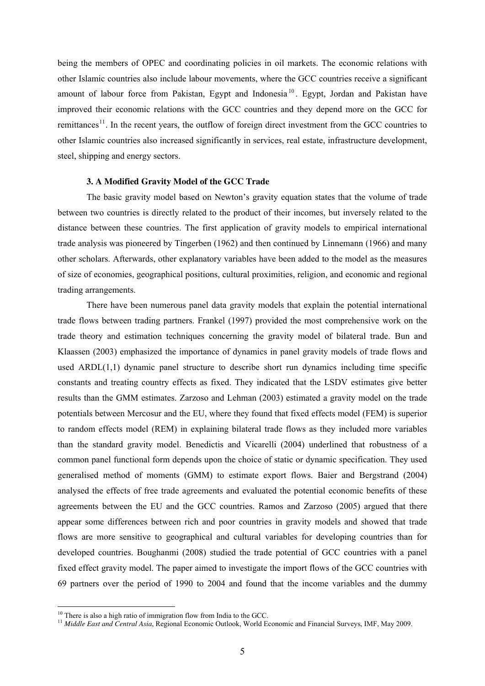being the members of OPEC and coordinating policies in oil markets. The economic relations with other Islamic countries also include labour movements, where the GCC countries receive a significant amount of labour force from Pakistan, Egypt and Indonesia<sup>[10](#page-5-0)</sup>. Egypt, Jordan and Pakistan have improved their economic relations with the GCC countries and they depend more on the GCC for remittances<sup>[11](#page-5-1)</sup>. In the recent years, the outflow of foreign direct investment from the GCC countries to other Islamic countries also increased significantly in services, real estate, infrastructure development, steel, shipping and energy sectors.

#### **3. A Modified Gravity Model of the GCC Trade**

The basic gravity model based on Newton's gravity equation states that the volume of trade between two countries is directly related to the product of their incomes, but inversely related to the distance between these countries. The first application of gravity models to empirical international trade analysis was pioneered by Tingerben (1962) and then continued by Linnemann (1966) and many other scholars. Afterwards, other explanatory variables have been added to the model as the measures of size of economies, geographical positions, cultural proximities, religion, and economic and regional trading arrangements.

There have been numerous panel data gravity models that explain the potential international trade flows between trading partners. Frankel (1997) provided the most comprehensive work on the trade theory and estimation techniques concerning the gravity model of bilateral trade. Bun and Klaassen (2003) emphasized the importance of dynamics in panel gravity models of trade flows and used ARDL(1,1) dynamic panel structure to describe short run dynamics including time specific constants and treating country effects as fixed. They indicated that the LSDV estimates give better results than the GMM estimates. Zarzoso and Lehman (2003) estimated a gravity model on the trade potentials between Mercosur and the EU, where they found that fixed effects model (FEM) is superior to random effects model (REM) in explaining bilateral trade flows as they included more variables than the standard gravity model. Benedictis and Vicarelli (2004) underlined that robustness of a common panel functional form depends upon the choice of static or dynamic specification. They used generalised method of moments (GMM) to estimate export flows. Baier and Bergstrand (2004) analysed the effects of free trade agreements and evaluated the potential economic benefits of these agreements between the EU and the GCC countries. Ramos and Zarzoso (2005) argued that there appear some differences between rich and poor countries in gravity models and showed that trade flows are more sensitive to geographical and cultural variables for developing countries than for developed countries. Boughanmi (2008) studied the trade potential of GCC countries with a panel fixed effect gravity model. The paper aimed to investigate the import flows of the GCC countries with 69 partners over the period of 1990 to 2004 and found that the income variables and the dummy

<span id="page-5-0"></span><sup>&</sup>lt;sup>10</sup> There is also a high ratio of immigration flow from India to the GCC.

<span id="page-5-1"></span><sup>&</sup>lt;sup>11</sup> Middle East and Central Asia, Regional Economic Outlook, World Economic and Financial Surveys, IMF, May 2009.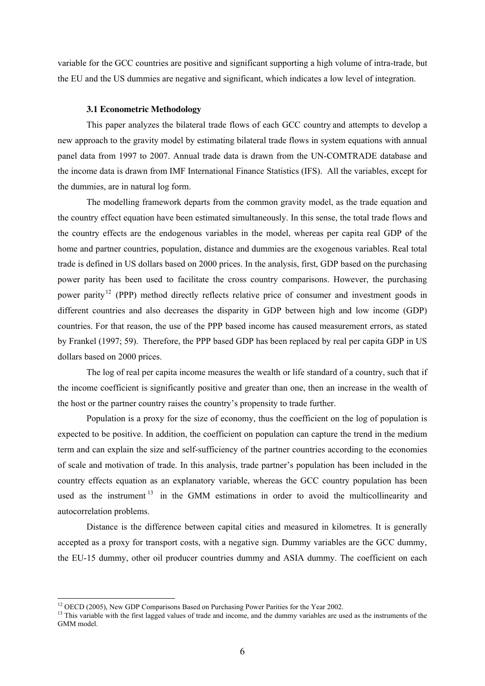variable for the GCC countries are positive and significant supporting a high volume of intra-trade, but the EU and the US dummies are negative and significant, which indicates a low level of integration.

#### **3.1 Econometric Methodology**

This paper analyzes the bilateral trade flows of each GCC country and attempts to develop a new approach to the gravity model by estimating bilateral trade flows in system equations with annual panel data from 1997 to 2007. Annual trade data is drawn from the UN-COMTRADE database and the income data is drawn from IMF International Finance Statistics (IFS). All the variables, except for the dummies, are in natural log form.

The modelling framework departs from the common gravity model, as the trade equation and the country effect equation have been estimated simultaneously. In this sense, the total trade flows and the country effects are the endogenous variables in the model, whereas per capita real GDP of the home and partner countries, population, distance and dummies are the exogenous variables. Real total trade is defined in US dollars based on 2000 prices. In the analysis, first, GDP based on the purchasing power parity has been used to facilitate the cross country comparisons. However, the purchasing power parity<sup>[12](#page-6-0)</sup> (PPP) method directly reflects relative price of consumer and investment goods in different countries and also decreases the disparity in GDP between high and low income (GDP) countries. For that reason, the use of the PPP based income has caused measurement errors, as stated by Frankel (1997; 59). Therefore, the PPP based GDP has been replaced by real per capita GDP in US dollars based on 2000 prices.

The log of real per capita income measures the wealth or life standard of a country, such that if the income coefficient is significantly positive and greater than one, then an increase in the wealth of the host or the partner country raises the country's propensity to trade further.

Population is a proxy for the size of economy, thus the coefficient on the log of population is expected to be positive. In addition, the coefficient on population can capture the trend in the medium term and can explain the size and self-sufficiency of the partner countries according to the economies of scale and motivation of trade. In this analysis, trade partner's population has been included in the country effects equation as an explanatory variable, whereas the GCC country population has been used as the instrument<sup>[13](#page-6-1)</sup> in the GMM estimations in order to avoid the multicollinearity and autocorrelation problems.

Distance is the difference between capital cities and measured in kilometres. It is generally accepted as a proxy for transport costs, with a negative sign. Dummy variables are the GCC dummy, the EU-15 dummy, other oil producer countries dummy and ASIA dummy. The coefficient on each

<sup>&</sup>lt;sup>12</sup> OECD (2005), New GDP Comparisons Based on Purchasing Power Parities for the Year 2002.

<span id="page-6-1"></span><span id="page-6-0"></span><sup>&</sup>lt;sup>13</sup> This variable with the first lagged values of trade and income, and the dummy variables are used as the instruments of the GMM model.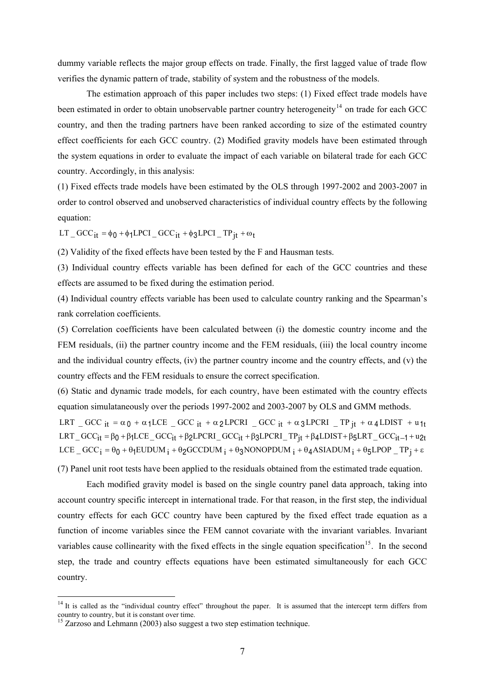dummy variable reflects the major group effects on trade. Finally, the first lagged value of trade flow verifies the dynamic pattern of trade, stability of system and the robustness of the models.

The estimation approach of this paper includes two steps: (1) Fixed effect trade models have been estimated in order to obtain unobservable partner country heterogeneity<sup>[14](#page-7-0)</sup> on trade for each GCC country, and then the trading partners have been ranked according to size of the estimated country effect coefficients for each GCC country. (2) Modified gravity models have been estimated through the system equations in order to evaluate the impact of each variable on bilateral trade for each GCC country. Accordingly, in this analysis:

(1) Fixed effects trade models have been estimated by the OLS through 1997-2002 and 2003-2007 in order to control observed and unobserved characteristics of individual country effects by the following equation:

LT \_  $GCC_{it} = \phi_0 + \phi_1 LPCI$  \_  $GCC_{it} + \phi_3 LPCI$  \_ TP<sub>it</sub> +  $\omega_t$ 

(2) Validity of the fixed effects have been tested by the F and Hausman tests.

(3) Individual country effects variable has been defined for each of the GCC countries and these effects are assumed to be fixed during the estimation period.

(4) Individual country effects variable has been used to calculate country ranking and the Spearman's rank correlation coefficients.

(5) Correlation coefficients have been calculated between (i) the domestic country income and the FEM residuals, (ii) the partner country income and the FEM residuals, (iii) the local country income and the individual country effects, (iv) the partner country income and the country effects, and (v) the country effects and the FEM residuals to ensure the correct specification.

(6) Static and dynamic trade models, for each country, have been estimated with the country effects equation simulataneously over the periods 1997-2002 and 2003-2007 by OLS and GMM methods.

LRT \_ GCC  $_{it} = \alpha_0 + \alpha_1 LCE$  \_ GCC  $_{it} + \alpha_2 LPCRI$  \_ GCC  $_{it} + \alpha_3 LPCRI$  \_ TP  $_{jt} + \alpha_4 LDIST$  + u<sub>1t</sub> LRT\_  $GCC_{it} = \beta_0 + \beta_1 LCE$   $GCC_{it} + \beta_2 LPCRI$   $GCC_{it} + \beta_3 LPCRI$   $TP_{it} + \beta_4 LDIST + \beta_5 LRT$   $GCC_{it-1} + u2t$  $LCE$   $GCC$ <sub>i</sub> =  $\theta$ <sub>0</sub> +  $\theta$ <sub>1</sub>EUDUM <sub>i</sub> +  $\theta$ <sub>2</sub>GCCDUM <sub>i</sub> +  $\theta$ <sub>3</sub>NONOPDUM <sub>i</sub> +  $\theta$ <sub>4</sub>ASIADUM <sub>i</sub> +  $\theta$ <sub>5</sub>LPOP  $T$ P<sub>i</sub> +  $\epsilon$ 

(7) Panel unit root tests have been applied to the residuals obtained from the estimated trade equation.

Each modified gravity model is based on the single country panel data approach, taking into account country specific intercept in international trade. For that reason, in the first step, the individual country effects for each GCC country have been captured by the fixed effect trade equation as a function of income variables since the FEM cannot covariate with the invariant variables. Invariant variables cause collinearity with the fixed effects in the single equation specification<sup>[15](#page-7-1)</sup>. In the second step, the trade and country effects equations have been estimated simultaneously for each GCC country.

<span id="page-7-0"></span> $14$  It is called as the "individual country effect" throughout the paper. It is assumed that the intercept term differs from country to country, but it is constant over time.

<span id="page-7-1"></span><sup>&</sup>lt;sup>15</sup> Zarzoso and Lehmann (2003) also suggest a two step estimation technique.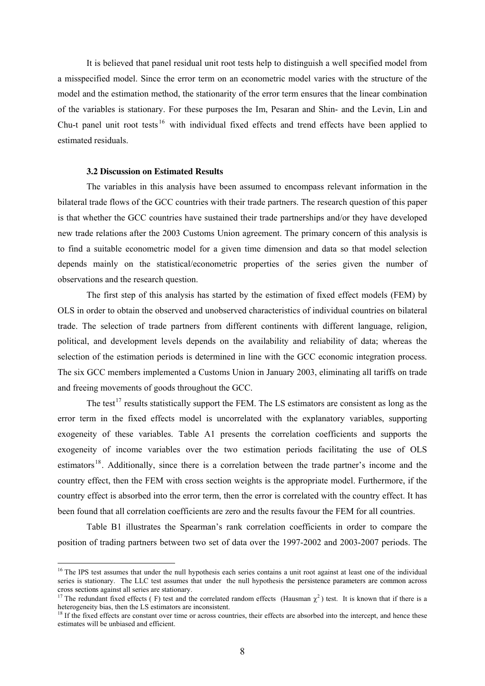It is believed that panel residual unit root tests help to distinguish a well specified model from a misspecified model. Since the error term on an econometric model varies with the structure of the model and the estimation method, the stationarity of the error term ensures that the linear combination of the variables is stationary. For these purposes the Im, Pesaran and Shin- and the Levin, Lin and Chu-t panel unit root tests  $16$  with individual fixed effects and trend effects have been applied to estimated residuals.

#### **3.2 Discussion on Estimated Results**

-

The variables in this analysis have been assumed to encompass relevant information in the bilateral trade flows of the GCC countries with their trade partners. The research question of this paper is that whether the GCC countries have sustained their trade partnerships and/or they have developed new trade relations after the 2003 Customs Union agreement. The primary concern of this analysis is to find a suitable econometric model for a given time dimension and data so that model selection depends mainly on the statistical/econometric properties of the series given the number of observations and the research question.

The first step of this analysis has started by the estimation of fixed effect models (FEM) by OLS in order to obtain the observed and unobserved characteristics of individual countries on bilateral trade. The selection of trade partners from different continents with different language, religion, political, and development levels depends on the availability and reliability of data; whereas the selection of the estimation periods is determined in line with the GCC economic integration process. The six GCC members implemented a Customs Union in January 2003, eliminating all tariffs on trade and freeing movements of goods throughout the GCC.

The test<sup>[17](#page-8-1)</sup> results statistically support the FEM. The LS estimators are consistent as long as the error term in the fixed effects model is uncorrelated with the explanatory variables, supporting exogeneity of these variables. Table A1 presents the correlation coefficients and supports the exogeneity of income variables over the two estimation periods facilitating the use of OLS estimators<sup>[18](#page-8-2)</sup>. Additionally, since there is a correlation between the trade partner's income and the country effect, then the FEM with cross section weights is the appropriate model. Furthermore, if the country effect is absorbed into the error term, then the error is correlated with the country effect. It has been found that all correlation coefficients are zero and the results favour the FEM for all countries.

Table B1 illustrates the Spearman's rank correlation coefficients in order to compare the position of trading partners between two set of data over the 1997-2002 and 2003-2007 periods. The

<span id="page-8-0"></span><sup>&</sup>lt;sup>16</sup> The IPS test assumes that under the null hypothesis each series contains a unit root against at least one of the individual series is stationary. The LLC test assumes that under the null hypothesis the persistence parameters are common across cross sections against all series are stationary.

<span id="page-8-1"></span><sup>&</sup>lt;sup>17</sup> The redundant fixed effects (F) test and the correlated random effects (Hausman  $\chi^2$ ) test. It is known that if there is a heterogeneity bias, then the LS estimators are inconsistent.

<span id="page-8-2"></span><sup>&</sup>lt;sup>18</sup> If the fixed effects are constant over time or across countries, their effects are absorbed into the intercept, and hence these estimates will be unbiased and efficient.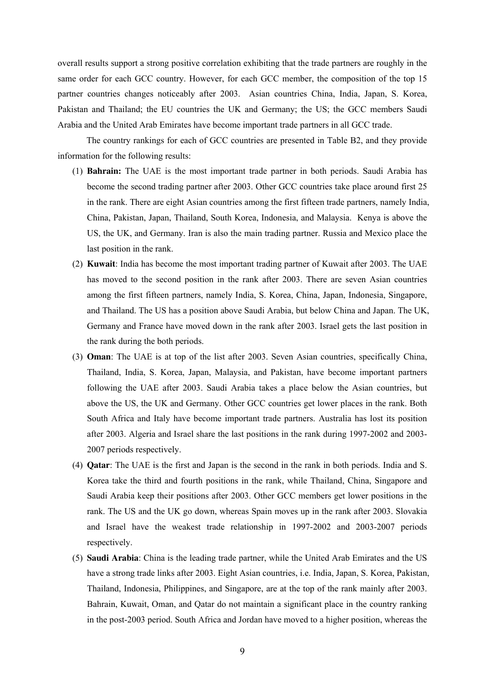overall results support a strong positive correlation exhibiting that the trade partners are roughly in the same order for each GCC country. However, for each GCC member, the composition of the top 15 partner countries changes noticeably after 2003. Asian countries China, India, Japan, S. Korea, Pakistan and Thailand; the EU countries the UK and Germany; the US; the GCC members Saudi Arabia and the United Arab Emirates have become important trade partners in all GCC trade.

The country rankings for each of GCC countries are presented in Table B2, and they provide information for the following results:

- (1) **Bahrain:** The UAE is the most important trade partner in both periods. Saudi Arabia has become the second trading partner after 2003. Other GCC countries take place around first 25 in the rank. There are eight Asian countries among the first fifteen trade partners, namely India, China, Pakistan, Japan, Thailand, South Korea, Indonesia, and Malaysia. Kenya is above the US, the UK, and Germany. Iran is also the main trading partner. Russia and Mexico place the last position in the rank.
- (2) **Kuwait**: India has become the most important trading partner of Kuwait after 2003. The UAE has moved to the second position in the rank after 2003. There are seven Asian countries among the first fifteen partners, namely India, S. Korea, China, Japan, Indonesia, Singapore, and Thailand. The US has a position above Saudi Arabia, but below China and Japan. The UK, Germany and France have moved down in the rank after 2003. Israel gets the last position in the rank during the both periods.
- (3) **Oman**: The UAE is at top of the list after 2003. Seven Asian countries, specifically China, Thailand, India, S. Korea, Japan, Malaysia, and Pakistan, have become important partners following the UAE after 2003. Saudi Arabia takes a place below the Asian countries, but above the US, the UK and Germany. Other GCC countries get lower places in the rank. Both South Africa and Italy have become important trade partners. Australia has lost its position after 2003. Algeria and Israel share the last positions in the rank during 1997-2002 and 2003- 2007 periods respectively.
- (4) **Qatar**: The UAE is the first and Japan is the second in the rank in both periods. India and S. Korea take the third and fourth positions in the rank, while Thailand, China, Singapore and Saudi Arabia keep their positions after 2003. Other GCC members get lower positions in the rank. The US and the UK go down, whereas Spain moves up in the rank after 2003. Slovakia and Israel have the weakest trade relationship in 1997-2002 and 2003-2007 periods respectively.
- (5) **Saudi Arabia**: China is the leading trade partner, while the United Arab Emirates and the US have a strong trade links after 2003. Eight Asian countries, i.e. India, Japan, S. Korea, Pakistan, Thailand, Indonesia, Philippines, and Singapore, are at the top of the rank mainly after 2003. Bahrain, Kuwait, Oman, and Qatar do not maintain a significant place in the country ranking in the post-2003 period. South Africa and Jordan have moved to a higher position, whereas the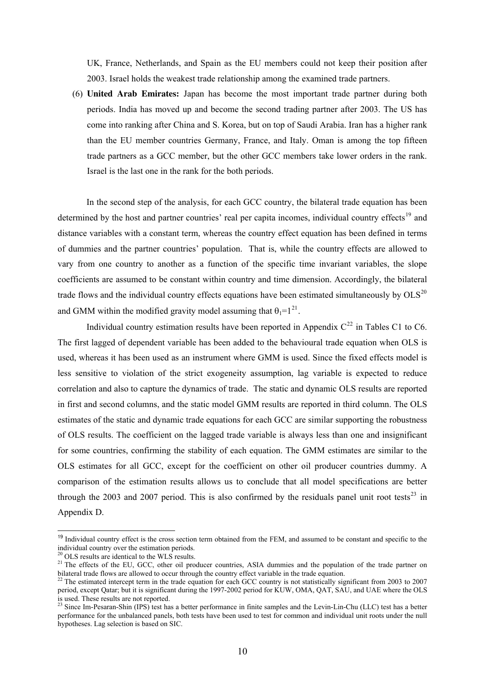UK, France, Netherlands, and Spain as the EU members could not keep their position after 2003. Israel holds the weakest trade relationship among the examined trade partners.

(6) **United Arab Emirates:** Japan has become the most important trade partner during both periods. India has moved up and become the second trading partner after 2003. The US has come into ranking after China and S. Korea, but on top of Saudi Arabia. Iran has a higher rank than the EU member countries Germany, France, and Italy. Oman is among the top fifteen trade partners as a GCC member, but the other GCC members take lower orders in the rank. Israel is the last one in the rank for the both periods.

In the second step of the analysis, for each GCC country, the bilateral trade equation has been determined by the host and partner countries' real per capita incomes, individual country effects<sup>[19](#page-10-0)</sup> and distance variables with a constant term, whereas the country effect equation has been defined in terms of dummies and the partner countries' population. That is, while the country effects are allowed to vary from one country to another as a function of the specific time invariant variables, the slope coefficients are assumed to be constant within country and time dimension. Accordingly, the bilateral trade flows and the individual country effects equations have been estimated simultaneously by  $OLS^{20}$  $OLS^{20}$  $OLS^{20}$ and GMM within the modified gravity model assuming that  $\theta_1 = 1^{21}$  $\theta_1 = 1^{21}$  $\theta_1 = 1^{21}$ .

Individual country estimation results have been reported in Appendix  $C^{22}$  $C^{22}$  $C^{22}$  in Tables C1 to C6. The first lagged of dependent variable has been added to the behavioural trade equation when OLS is used, whereas it has been used as an instrument where GMM is used. Since the fixed effects model is less sensitive to violation of the strict exogeneity assumption, lag variable is expected to reduce correlation and also to capture the dynamics of trade. The static and dynamic OLS results are reported in first and second columns, and the static model GMM results are reported in third column. The OLS estimates of the static and dynamic trade equations for each GCC are similar supporting the robustness of OLS results. The coefficient on the lagged trade variable is always less than one and insignificant for some countries, confirming the stability of each equation. The GMM estimates are similar to the OLS estimates for all GCC, except for the coefficient on other oil producer countries dummy. A comparison of the estimation results allows us to conclude that all model specifications are better through the 2003 and 2007 period. This is also confirmed by the residuals panel unit root tests<sup>[23](#page-10-4)</sup> in Appendix D.

<span id="page-10-0"></span><sup>&</sup>lt;sup>19</sup> Individual country effect is the cross section term obtained from the FEM, and assumed to be constant and specific to the individual country over the estimation periods.

 $20$  OLS results are identical to the WLS results.

<span id="page-10-2"></span><span id="page-10-1"></span><sup>&</sup>lt;sup>21</sup> The effects of the EU, GCC, other oil producer countries, ASIA dummies and the population of the trade partner on bilateral trade flows are allowed to occur through the country effect variable in the trade equation.

<span id="page-10-3"></span> $22$  The estimated intercept term in the trade equation for each GCC country is not statistically significant from 2003 to 2007 period, except Qatar; but it is significant during the 1997-2002 period for KUW, OMA, QAT, SAU, and UAE where the OLS is used. These results are not reported.

<span id="page-10-4"></span><sup>&</sup>lt;sup>23</sup> Since Im-Pesaran-Shin (IPS) test has a better performance in finite samples and the Levin-Lin-Chu (LLC) test has a better performance for the unbalanced panels, both tests have been used to test for common and individual unit roots under the null hypotheses. Lag selection is based on SIC.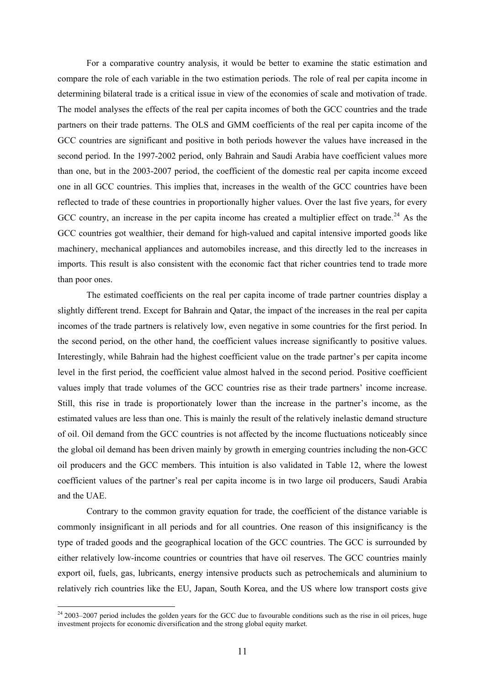For a comparative country analysis, it would be better to examine the static estimation and compare the role of each variable in the two estimation periods. The role of real per capita income in determining bilateral trade is a critical issue in view of the economies of scale and motivation of trade. The model analyses the effects of the real per capita incomes of both the GCC countries and the trade partners on their trade patterns. The OLS and GMM coefficients of the real per capita income of the GCC countries are significant and positive in both periods however the values have increased in the second period. In the 1997-2002 period, only Bahrain and Saudi Arabia have coefficient values more than one, but in the 2003-2007 period, the coefficient of the domestic real per capita income exceed one in all GCC countries. This implies that, increases in the wealth of the GCC countries have been reflected to trade of these countries in proportionally higher values. Over the last five years, for every GCC country, an increase in the per capita income has created a multiplier effect on trade.<sup>[24](#page-11-0)</sup> As the GCC countries got wealthier, their demand for high-valued and capital intensive imported goods like machinery, mechanical appliances and automobiles increase, and this directly led to the increases in imports. This result is also consistent with the economic fact that richer countries tend to trade more than poor ones.

The estimated coefficients on the real per capita income of trade partner countries display a slightly different trend. Except for Bahrain and Qatar, the impact of the increases in the real per capita incomes of the trade partners is relatively low, even negative in some countries for the first period. In the second period, on the other hand, the coefficient values increase significantly to positive values. Interestingly, while Bahrain had the highest coefficient value on the trade partner's per capita income level in the first period, the coefficient value almost halved in the second period. Positive coefficient values imply that trade volumes of the GCC countries rise as their trade partners' income increase. Still, this rise in trade is proportionately lower than the increase in the partner's income, as the estimated values are less than one. This is mainly the result of the relatively inelastic demand structure of oil. Oil demand from the GCC countries is not affected by the income fluctuations noticeably since the global oil demand has been driven mainly by growth in emerging countries including the non-GCC oil producers and the GCC members. This intuition is also validated in Table 12, where the lowest coefficient values of the partner's real per capita income is in two large oil producers, Saudi Arabia and the UAE.

Contrary to the common gravity equation for trade, the coefficient of the distance variable is commonly insignificant in all periods and for all countries. One reason of this insignificancy is the type of traded goods and the geographical location of the GCC countries. The GCC is surrounded by either relatively low-income countries or countries that have oil reserves. The GCC countries mainly export oil, fuels, gas, lubricants, energy intensive products such as petrochemicals and aluminium to relatively rich countries like the EU, Japan, South Korea, and the US where low transport costs give

<span id="page-11-0"></span> $242003-2007$  period includes the golden years for the GCC due to favourable conditions such as the rise in oil prices, huge investment projects for economic diversification and the strong global equity market.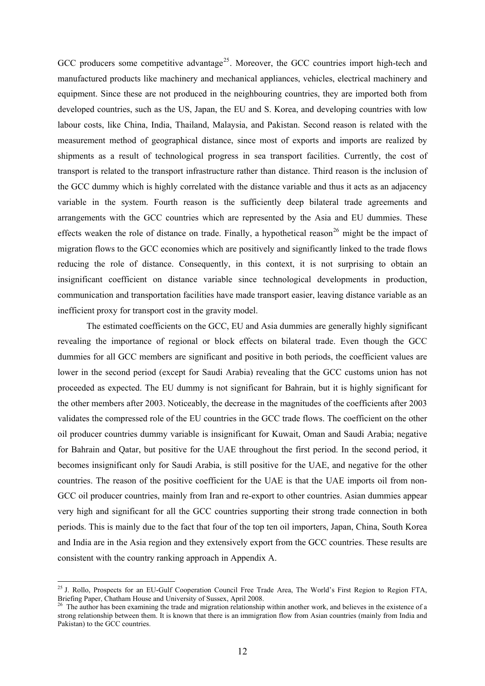GCC producers some competitive advantage<sup>[25](#page-12-0)</sup>. Moreover, the GCC countries import high-tech and manufactured products like machinery and mechanical appliances, vehicles, electrical machinery and equipment. Since these are not produced in the neighbouring countries, they are imported both from developed countries, such as the US, Japan, the EU and S. Korea, and developing countries with low labour costs, like China, India, Thailand, Malaysia, and Pakistan. Second reason is related with the measurement method of geographical distance, since most of exports and imports are realized by shipments as a result of technological progress in sea transport facilities. Currently, the cost of transport is related to the transport infrastructure rather than distance. Third reason is the inclusion of the GCC dummy which is highly correlated with the distance variable and thus it acts as an adjacency variable in the system. Fourth reason is the sufficiently deep bilateral trade agreements and arrangements with the GCC countries which are represented by the Asia and EU dummies. These effects weaken the role of distance on trade. Finally, a hypothetical reason<sup>[26](#page-12-1)</sup> might be the impact of migration flows to the GCC economies which are positively and significantly linked to the trade flows reducing the role of distance. Consequently, in this context, it is not surprising to obtain an insignificant coefficient on distance variable since technological developments in production, communication and transportation facilities have made transport easier, leaving distance variable as an inefficient proxy for transport cost in the gravity model.

The estimated coefficients on the GCC, EU and Asia dummies are generally highly significant revealing the importance of regional or block effects on bilateral trade. Even though the GCC dummies for all GCC members are significant and positive in both periods, the coefficient values are lower in the second period (except for Saudi Arabia) revealing that the GCC customs union has not proceeded as expected. The EU dummy is not significant for Bahrain, but it is highly significant for the other members after 2003. Noticeably, the decrease in the magnitudes of the coefficients after 2003 validates the compressed role of the EU countries in the GCC trade flows. The coefficient on the other oil producer countries dummy variable is insignificant for Kuwait, Oman and Saudi Arabia; negative for Bahrain and Qatar, but positive for the UAE throughout the first period. In the second period, it becomes insignificant only for Saudi Arabia, is still positive for the UAE, and negative for the other countries. The reason of the positive coefficient for the UAE is that the UAE imports oil from non-GCC oil producer countries, mainly from Iran and re-export to other countries. Asian dummies appear very high and significant for all the GCC countries supporting their strong trade connection in both periods. This is mainly due to the fact that four of the top ten oil importers, Japan, China, South Korea and India are in the Asia region and they extensively export from the GCC countries. These results are consistent with the country ranking approach in Appendix A.

<span id="page-12-0"></span><sup>&</sup>lt;sup>25</sup> J. Rollo, Prospects for an EU-Gulf Cooperation Council Free Trade Area, The World's First Region to Region FTA, Briefing Paper, Chatham House and University of Sussex, April 2008.

<span id="page-12-1"></span><sup>&</sup>lt;sup>26</sup> The author has been examining the trade and migration relationship within another work, and believes in the existence of a strong relationship between them. It is known that there is an immigration flow from Asian countries (mainly from India and Pakistan) to the GCC countries.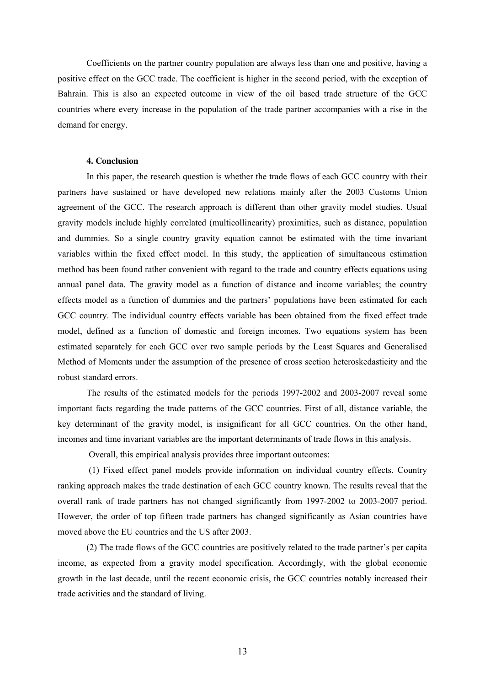Coefficients on the partner country population are always less than one and positive, having a positive effect on the GCC trade. The coefficient is higher in the second period, with the exception of Bahrain. This is also an expected outcome in view of the oil based trade structure of the GCC countries where every increase in the population of the trade partner accompanies with a rise in the demand for energy.

# **4. Conclusion**

In this paper, the research question is whether the trade flows of each GCC country with their partners have sustained or have developed new relations mainly after the 2003 Customs Union agreement of the GCC. The research approach is different than other gravity model studies. Usual gravity models include highly correlated (multicollinearity) proximities, such as distance, population and dummies. So a single country gravity equation cannot be estimated with the time invariant variables within the fixed effect model. In this study, the application of simultaneous estimation method has been found rather convenient with regard to the trade and country effects equations using annual panel data. The gravity model as a function of distance and income variables; the country effects model as a function of dummies and the partners' populations have been estimated for each GCC country. The individual country effects variable has been obtained from the fixed effect trade model, defined as a function of domestic and foreign incomes. Two equations system has been estimated separately for each GCC over two sample periods by the Least Squares and Generalised Method of Moments under the assumption of the presence of cross section heteroskedasticity and the robust standard errors.

The results of the estimated models for the periods 1997-2002 and 2003-2007 reveal some important facts regarding the trade patterns of the GCC countries. First of all, distance variable, the key determinant of the gravity model, is insignificant for all GCC countries. On the other hand, incomes and time invariant variables are the important determinants of trade flows in this analysis.

Overall, this empirical analysis provides three important outcomes:

 (1) Fixed effect panel models provide information on individual country effects. Country ranking approach makes the trade destination of each GCC country known. The results reveal that the overall rank of trade partners has not changed significantly from 1997-2002 to 2003-2007 period. However, the order of top fifteen trade partners has changed significantly as Asian countries have moved above the EU countries and the US after 2003.

(2) The trade flows of the GCC countries are positively related to the trade partner's per capita income, as expected from a gravity model specification. Accordingly, with the global economic growth in the last decade, until the recent economic crisis, the GCC countries notably increased their trade activities and the standard of living.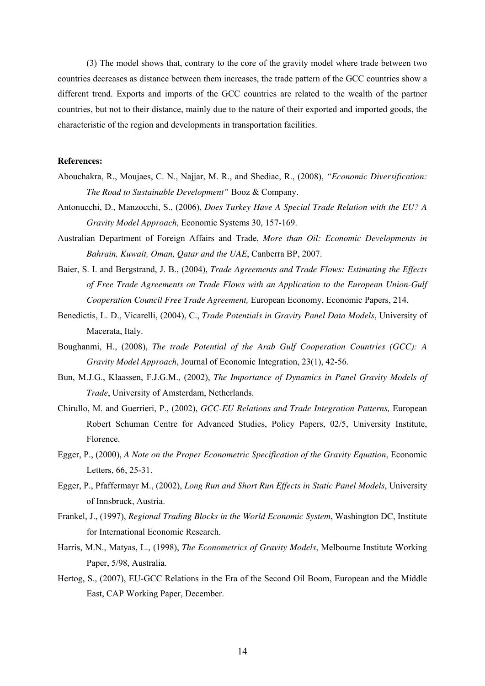(3) The model shows that, contrary to the core of the gravity model where trade between two countries decreases as distance between them increases, the trade pattern of the GCC countries show a different trend. Exports and imports of the GCC countries are related to the wealth of the partner countries, but not to their distance, mainly due to the nature of their exported and imported goods, the characteristic of the region and developments in transportation facilities.

### **References:**

- Abouchakra, R., Moujaes, C. N., Najjar, M. R., and Shediac, R., (2008), *"Economic Diversification: The Road to Sustainable Development"* Booz & Company.
- Antonucchi, D., Manzocchi, S., (2006), *Does Turkey Have A Special Trade Relation with the EU? A Gravity Model Approach*, Economic Systems 30, 157-169.
- Australian Department of Foreign Affairs and Trade, *More than Oil: Economic Developments in Bahrain, Kuwait, Oman, Qatar and the UAE*, Canberra BP, 2007.
- Baier, S. I. and Bergstrand, J. B., (2004), *Trade Agreements and Trade Flows: Estimating the Effects of Free Trade Agreements on Trade Flows with an Application to the European Union-Gulf Cooperation Council Free Trade Agreement,* European Economy, Economic Papers, 214.
- Benedictis, L. D., Vicarelli, (2004), C., *Trade Potentials in Gravity Panel Data Models*, University of Macerata, Italy.
- Boughanmi, H., (2008), *The trade Potential of the Arab Gulf Cooperation Countries (GCC): A Gravity Model Approach*, Journal of Economic Integration, 23(1), 42-56.
- Bun, M.J.G., Klaassen, F.J.G.M., (2002), *The Importance of Dynamics in Panel Gravity Models of Trade*, University of Amsterdam, Netherlands.
- Chirullo, M. and Guerrieri, P., (2002), *GCC-EU Relations and Trade Integration Patterns,* European Robert Schuman Centre for Advanced Studies, Policy Papers, 02/5, University Institute, Florence.
- Egger, P., (2000), *A Note on the Proper Econometric Specification of the Gravity Equation*, Economic Letters, 66, 25-31.
- Egger, P., Pfaffermayr M., (2002), *Long Run and Short Run Effects in Static Panel Models*, University of Innsbruck, Austria.
- Frankel, J., (1997), *Regional Trading Blocks in the World Economic System*, Washington DC, Institute for International Economic Research.
- Harris, M.N., Matyas, L., (1998), *The Econometrics of Gravity Models*, Melbourne Institute Working Paper, 5/98, Australia.
- Hertog, S., (2007), EU-GCC Relations in the Era of the Second Oil Boom, European and the Middle East, CAP Working Paper, December.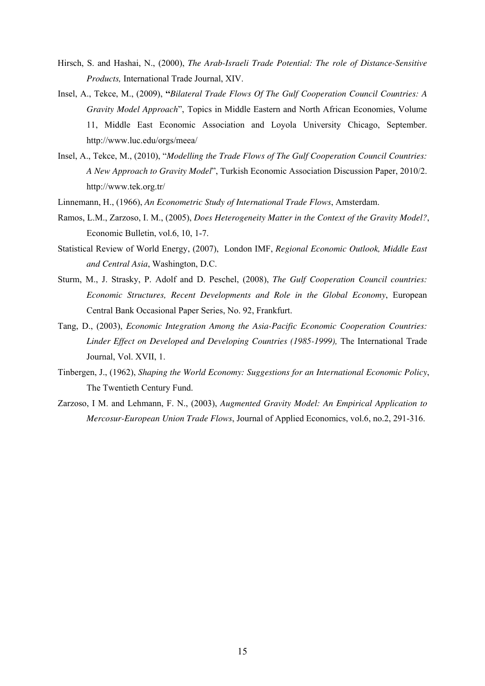- Hirsch, S. and Hashai, N., (2000), *The Arab-Israeli Trade Potential: The role of Distance-Sensitive Products,* International Trade Journal, XIV.
- Insel, A., Tekce, M., (2009), **"***Bilateral Trade Flows Of The Gulf Cooperation Council Countries: A Gravity Model Approach*", Topics in Middle Eastern and North African Economies, Volume 11, Middle East Economic Association and Loyola University Chicago, September. http://www.luc.edu/orgs/meea/
- Insel, A., Tekce, M., (2010), "*Modelling the Trade Flows of The Gulf Cooperation Council Countries: A New Approach to Gravity Model*", Turkish Economic Association Discussion Paper, 2010/2. http://www.tek.org.tr/
- Linnemann, H., (1966), *An Econometric Study of International Trade Flows*, Amsterdam.
- Ramos, L.M., Zarzoso, I. M., (2005), *Does Heterogeneity Matter in the Context of the Gravity Model?*, Economic Bulletin, vol.6, 10, 1-7.
- Statistical Review of World Energy, (2007), London IMF, *Regional Economic Outlook, Middle East and Central Asia*, Washington, D.C.
- Sturm, M., J. Strasky, P. Adolf and D. Peschel, (2008), *The Gulf Cooperation Council countries: Economic Structures, Recent Developments and Role in the Global Economy*, European Central Bank Occasional Paper Series, No. 92, Frankfurt.
- Tang, D., (2003), *Economic Integration Among the Asia-Pacific Economic Cooperation Countries:*  Linder Effect on Developed and Developing Countries (1985-1999), The International Trade Journal, Vol. XVII, 1.
- Tinbergen, J., (1962), *Shaping the World Economy: Suggestions for an International Economic Policy*, The Twentieth Century Fund.
- Zarzoso, I M. and Lehmann, F. N., (2003), *Augmented Gravity Model: An Empirical Application to Mercosur-European Union Trade Flows*, Journal of Applied Economics, vol.6, no.2, 291-316.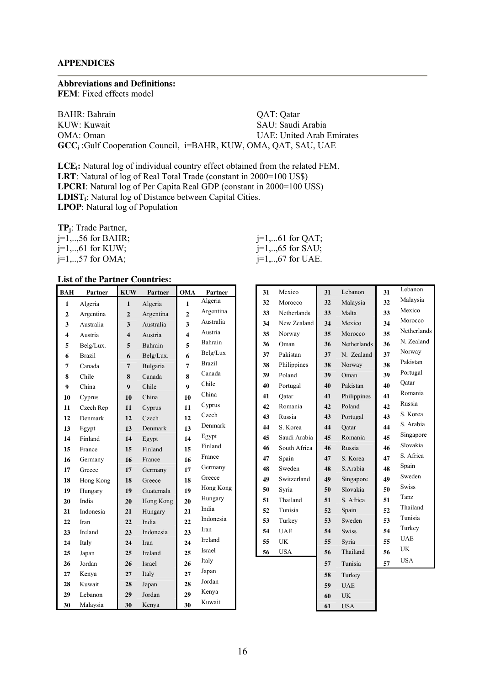# **APPENDICES**

#### **Abbreviations and Definitions:**

**FEM**: Fixed effects model

BAHR: Bahrain QAT: Qatar KUW: Kuwait SAU: Saudi Arabia OMA: Oman UAE: United Arab Emirates **GCC<sup>i</sup>** :Gulf Cooperation Council, i=BAHR, KUW, OMA, QAT, SAU, UAE

**LCEi:** Natural log of individual country effect obtained from the related FEM. LRT: Natural of log of Real Total Trade (constant in 2000=100 US\$) **LPCRI**: Natural log of Per Capita Real GDP (constant in 2000=100 US\$) **LDISTi**: Natural log of Distance between Capital Cities. **LPOP**: Natural log of Population

**TPj**: Trade Partner,

 $j=1,..,57$  for OMA;  $j=1,..,67$  for UAE.

## **List of the Partner Countries:**

| <b>BAH</b>   | <b>Partner</b> | <b>KUW</b>     | <b>Partner</b> | <b>OMA</b>   | Partner       |
|--------------|----------------|----------------|----------------|--------------|---------------|
| 1            | Algeria        | 1              | Algeria        | 1            | Algeria       |
| $\mathbf{2}$ | Argentina      | $\overline{2}$ | Argentina      | $\mathbf{2}$ | Argentina     |
| 3            | Australia      | 3              | Australia      | 3            | Australia     |
| 4            | Austria        | 4              | Austria        | 4            | Austria       |
| 5            | Belg/Lux.      | 5              | Bahrain        | 5            | Bahrain       |
| 6            | <b>Brazil</b>  | 6              | Belg/Lux.      | 6            | Belg/Lux      |
| 7            | Canada         | 7              | Bulgaria       | 7            | <b>Brazil</b> |
| 8            | Chile          | 8              | Canada         | 8            | Canada        |
| 9            | China          | 9              | Chile          | 9            | Chile         |
| 10           | Cyprus         | 10             | China          | 10           | China         |
| 11           | Czech Rep      | 11             | Cyprus         | 11           | Cyprus        |
| 12           | Denmark        | 12             | Czech          | 12           | Czech         |
| 13           | Egypt          | 13             | Denmark        | 13           | Denmark       |
| 14           | Finland        | 14             | Egypt          | 14           | Egypt         |
| 15           | France         | 15             | Finland        | 15           | Finland       |
| 16           | Germany        | 16             | France         | 16           | France        |
| 17           | Greece         | 17             | Germany        | 17           | Germany       |
| 18           | Hong Kong      | 18             | Greece         | 18           | Greece        |
| 19           | Hungary        | 19             | Guatemala      | 19           | Hong Kong     |
| 20           | India          | 20             | Hong Kong      | 20           | Hungary       |
| 21           | Indonesia      | 21             | Hungary        | 21           | India         |
| 22           | Iran           | 22             | India          | 22           | Indonesia     |
| 23           | Ireland        | 23             | Indonesia      | 23           | Iran          |
| 24           | Italy          | 24             | <b>Iran</b>    | 24           | Ireland       |
| 25           | Japan          | 25             | Ireland        | 25           | Israel        |
| 26           | Jordan         | 26             | <b>Israel</b>  | 26           | Italy         |
| 27           | Kenya          | 27             | Italy          | 27           | Japan         |
| 28           | Kuwait         | 28             | Japan          | 28           | Jordan        |
| 29           | Lebanon        | 29             | Jordan         | 29           | Kenya         |
| 30           | Malaysia       | 30             | Kenya          | 30           | Kuwait        |

j=1,..,56 for BAHR;<br>j=1,..,61 for KUW;<br>j=1,..,65 for SAU;<br>j=1,..,65 for SAU;  $j=1,..,65$  for SAU;

| 31 | Mexico       | 31 | Lebanon      | 31 | Lebanon      |
|----|--------------|----|--------------|----|--------------|
| 32 | Morocco      | 32 | Malaysia     | 32 | Malaysia     |
| 33 | Netherlands  | 33 | Malta        | 33 | Mexico       |
| 34 | New Zealand  | 34 | Mexico       | 34 | Morocco      |
| 35 | Norway       | 35 | Morocco      | 35 | Netherlands  |
| 36 | Oman         | 36 | Netherlands  | 36 | N. Zealand   |
| 37 | Pakistan     | 37 | N. Zealand   | 37 | Norway       |
| 38 | Philippines  | 38 | Norway       | 38 | Pakistan     |
| 39 | Poland       | 39 | Oman         | 39 | Portugal     |
| 40 | Portugal     | 40 | Pakistan     | 40 | Oatar        |
| 41 | Oatar        | 41 | Philippines  | 41 | Romania      |
| 42 | Romania      | 42 | Poland       | 42 | Russia       |
| 43 | Russia       | 43 | Portugal     | 43 | S. Korea     |
| 44 | S. Korea     | 44 | Oatar        | 44 | S. Arabia    |
| 45 | Saudi Arabia | 45 | Romania      | 45 | Singapore    |
| 46 | South Africa | 46 | Russia       | 46 | Slovakia     |
| 47 | Spain        | 47 | S. Korea     | 47 | S. Africa    |
| 48 | Sweden       | 48 | S.Arabia     | 48 | Spain        |
| 49 | Switzerland  | 49 | Singapore    | 49 | Sweden       |
| 50 | Syria        | 50 | Slovakia     | 50 | <b>Swiss</b> |
| 51 | Thailand     | 51 | S. Africa    | 51 | <b>Tanz</b>  |
| 52 | Tunisia      | 52 | Spain        | 52 | Thailand     |
| 53 | Turkey       | 53 | Sweden       | 53 | Tunisia      |
| 54 | <b>UAE</b>   | 54 | <b>Swiss</b> | 54 | Turkey       |
| 55 | <b>UK</b>    | 55 | Syria        | 55 | <b>UAE</b>   |
| 56 | <b>USA</b>   | 56 | Thailand     | 56 | <b>UK</b>    |
|    |              | 57 | Tunisia      | 57 | <b>USA</b>   |
|    |              | 58 | Turkey       |    |              |
|    |              | 59 | <b>UAE</b>   |    |              |
|    |              | 60 | <b>UK</b>    |    |              |
|    |              | 61 | <b>USA</b>   |    |              |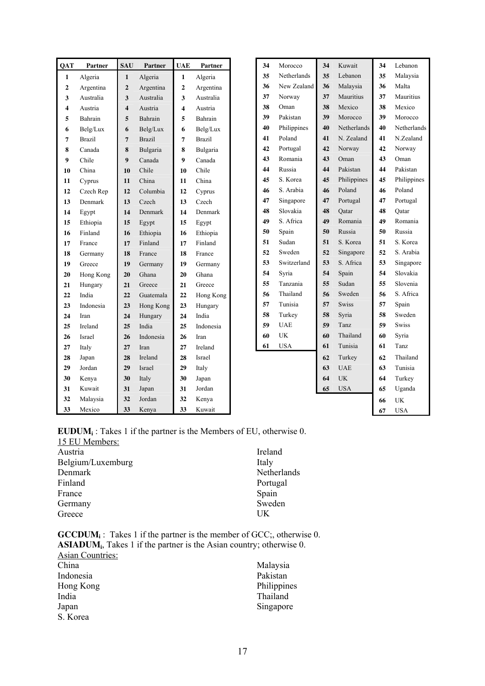| <b>QAT</b>       | <b>Partner</b> | <b>SAU</b>              | <b>Partner</b> | <b>UAE</b>              | Partner       | 34 | Morocco     | 34 | Kuwait       | 34 | Lebanon     |
|------------------|----------------|-------------------------|----------------|-------------------------|---------------|----|-------------|----|--------------|----|-------------|
| $\mathbf{1}$     | Algeria        | $\mathbf{1}$            | Algeria        | $\mathbf{1}$            | Algeria       | 35 | Netherlands | 35 | Lebanon      | 35 | Malaysia    |
| $\boldsymbol{2}$ | Argentina      | $\overline{2}$          | Argentina      | $\mathbf{2}$            | Argentina     | 36 | New Zealand | 36 | Malaysia     | 36 | Malta       |
| 3                | Australia      | 3                       | Australia      | 3                       | Australia     | 37 | Norway      | 37 | Mauritius    | 37 | Mauritius   |
| 4                | Austria        | $\overline{\mathbf{4}}$ | Austria        | $\overline{\mathbf{4}}$ | Austria       | 38 | Oman        | 38 | Mexico       | 38 | Mexico      |
| 5                | Bahrain        | 5                       | Bahrain        | 5                       | Bahrain       | 39 | Pakistan    | 39 | Morocco      | 39 | Morocco     |
| 6                | Belg/Lux       | 6                       | Belg/Lux       | 6                       | Belg/Lux      | 40 | Philippines | 40 | Netherlands  | 40 | Netherlands |
| 7                | <b>Brazil</b>  | $\overline{7}$          | <b>Brazil</b>  | 7                       | <b>Brazil</b> | 41 | Poland      | 41 | N. Zealand   | 41 | N.Zealand   |
| 8                | Canada         | 8                       | Bulgaria       | 8                       | Bulgaria      | 42 | Portugal    | 42 | Norway       | 42 | Norway      |
| 9                | Chile          | 9                       | Canada         | 9                       | Canada        | 43 | Romania     | 43 | Oman         | 43 | Oman        |
| 10               | China          | 10                      | Chile          | 10                      | Chile         | 44 | Russia      | 44 | Pakistan     | 44 | Pakistan    |
| 11               | Cyprus         | 11                      | China          | 11                      | China         | 45 | S. Korea    | 45 | Philippines  | 45 | Philippines |
| 12               | Czech Rep      | 12                      | Columbia       | 12                      | Cyprus        | 46 | S. Arabia   | 46 | Poland       | 46 | Poland      |
| 13               | Denmark        | 13                      | Czech          | 13                      | Czech         | 47 | Singapore   | 47 | Portugal     | 47 | Portugal    |
| 14               | Egypt          | 14                      | Denmark        | 14                      | Denmark       | 48 | Slovakia    | 48 | Oatar        | 48 | Oatar       |
| 15               | Ethiopia       | 15                      | Egypt          | 15                      | Egypt         | 49 | S. Africa   | 49 | Romania      | 49 | Romania     |
| 16               | Finland        | 16                      | Ethiopia       | 16                      | Ethiopia      | 50 | Spain       | 50 | Russia       | 50 | Russia      |
| 17               | France         | 17                      | Finland        | 17                      | Finland       | 51 | Sudan       | 51 | S. Korea     | 51 | S. Korea    |
| 18               | Germany        | 18                      | France         | 18                      | France        | 52 | Sweden      | 52 | Singapore    | 52 | S. Arabia   |
| 19               | Greece         | 19                      | Germany        | 19                      | Germany       | 53 | Switzerland | 53 | S. Africa    | 53 | Singapore   |
| 20               | Hong Kong      | 20                      | Ghana          | 20                      | Ghana         | 54 | Syria       | 54 | Spain        | 54 | Slovakia    |
| 21               | Hungary        | 21                      | Greece         | 21                      | Greece        | 55 | Tanzania    | 55 | Sudan        | 55 | Slovenia    |
| 22               | India          | 22                      | Guatemala      | 22                      | Hong Kong     | 56 | Thailand    | 56 | Sweden       | 56 | S. Africa   |
| 23               | Indonesia      | 23                      | Hong Kong      | 23                      | Hungary       | 57 | Tunisia     | 57 | <b>Swiss</b> | 57 | Spain       |
| 24               | Iran           | 24                      | Hungary        | 24                      | India         | 58 | Turkey      | 58 | Syria        | 58 | Sweden      |
| 25               | Ireland        | 25                      | India          | 25                      | Indonesia     | 59 | <b>UAE</b>  | 59 | Tanz         | 59 | Swiss       |
| 26               | Israel         | 26                      | Indonesia      | 26                      | Iran          | 60 | UK          | 60 | Thailand     | 60 | Syria       |
| 27               | Italy          | 27                      | Iran           | 27                      | Ireland       | 61 | <b>USA</b>  | 61 | Tunisia      | 61 | Tanz        |
| 28               | Japan          | 28                      | Ireland        | 28                      | Israel        |    |             | 62 | Turkey       | 62 | Thailand    |
| 29               | Jordan         | 29                      | Israel         | 29                      | Italy         |    |             | 63 | <b>UAE</b>   | 63 | Tunisia     |
| 30               | Kenya          | 30                      | Italy          | 30                      | Japan         |    |             | 64 | <b>UK</b>    | 64 | Turkey      |
| 31               | Kuwait         | 31                      | Japan          | 31                      | Jordan        |    |             | 65 | <b>USA</b>   | 65 | Uganda      |
| 32               | Malaysia       | 32                      | Jordan         | 32                      | Kenya         |    |             |    |              | 66 | <b>UK</b>   |
| 33               | Mexico         | 33                      | Kenya          | 33                      | Kuwait        |    |             |    |              | 67 | <b>USA</b>  |

| <b>EUDUM</b> <sub>i</sub> : Takes 1 if the partner is the Members of EU, otherwise 0. |  |  |  |
|---------------------------------------------------------------------------------------|--|--|--|
|---------------------------------------------------------------------------------------|--|--|--|

| 15 EU Members:    |             |
|-------------------|-------------|
| Austria           | Ireland     |
| Belgium/Luxemburg | Italy       |
| Denmark           | Netherlands |
| Finland           | Portugal    |
| France            | Spain       |
| Germany           | Sweden      |
| Greece            | UK          |

**GCCDUM**<sup>2</sup>: Takes 1 if the partner is the member of GCC;, otherwise 0. **ASIADUM<sup>i</sup>** , Takes 1 if the partner is the Asian country; otherwise 0.

| Asian Countries: |             |
|------------------|-------------|
| China            | Malaysia    |
| Indonesia        | Pakistan    |
| Hong Kong        | Philippines |
| India            | Thailand    |
| Japan            | Singapore   |
| S. Korea         |             |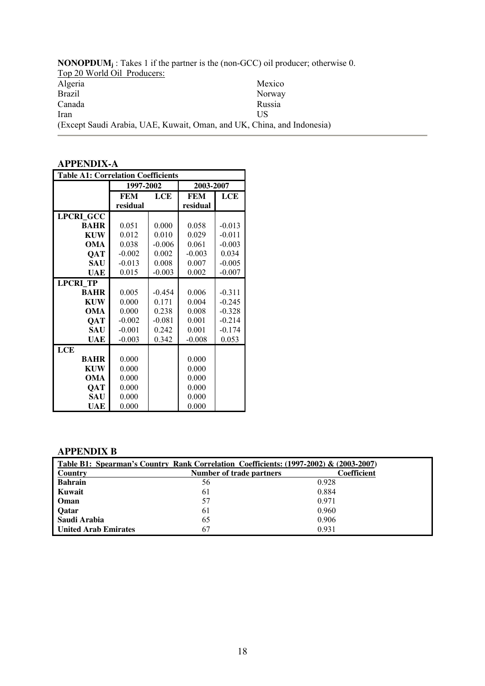**NONOPDUM<sup>j</sup>** : Takes 1 if the partner is the (non-GCC) oil producer; otherwise 0. Top 20 World Oil Producers: Algeria Brazil Canada Iran Mexico Norway Russia US (Except Saudi Arabia, UAE, Kuwait, Oman, and UK, China, and Indonesia)

# **APPENDIX-A**

| <b>Table A1: Correlation Coefficients</b> |            |            |            |          |
|-------------------------------------------|------------|------------|------------|----------|
|                                           | 1997-2002  |            | 2003-2007  |          |
|                                           | <b>FEM</b> | <b>LCE</b> | <b>FEM</b> | LCE      |
|                                           | residual   |            | residual   |          |
| LPCRI_GCC                                 |            |            |            |          |
| <b>BAHR</b>                               | 0.051      | 0.000      | 0.058      | $-0.013$ |
| <b>KUW</b>                                | 0.012      | 0.010      | 0.029      | $-0.011$ |
| OMA                                       | 0.038      | $-0.006$   | 0.061      | $-0.003$ |
| QAT                                       | $-0.002$   | 0.002      | $-0.003$   | 0.034    |
| <b>SAU</b>                                | $-0.013$   | 0.008      | 0.007      | $-0.005$ |
| UAE                                       | 0.015      | $-0.003$   | 0.002      | $-0.007$ |
| <b>LPCRI TP</b>                           |            |            |            |          |
| <b>BAHR</b>                               | 0.005      | $-0.454$   | 0.006      | $-0.311$ |
| <b>KUW</b>                                | 0.000      | 0.171      | 0.004      | $-0.245$ |
| OMA                                       | 0.000      | 0.238      | 0.008      | $-0.328$ |
| QAT                                       | $-0.002$   | $-0.081$   | 0.001      | $-0.214$ |
| <b>SAU</b>                                | $-0.001$   | 0.242      | 0.001      | $-0.174$ |
| UAE                                       | $-0.003$   | 0.342      | $-0.008$   | 0.053    |
| LCE                                       |            |            |            |          |
| <b>BAHR</b>                               | 0.000      |            | 0.000      |          |
| <b>KUW</b>                                | 0.000      |            | 0.000      |          |
| OMA                                       | 0.000      |            | 0.000      |          |
| QAT                                       | 0.000      |            | 0.000      |          |
| <b>SAU</b>                                | 0.000      |            | 0.000      |          |
| UAE                                       | 0.000      |            | 0.000      |          |

# **APPENDIX B**

| Table B1: Spearman's Country Rank Correlation Coefficients: (1997-2002) & (2003-2007) |                          |             |  |  |  |  |  |
|---------------------------------------------------------------------------------------|--------------------------|-------------|--|--|--|--|--|
| <b>Country</b>                                                                        | Number of trade partners | Coefficient |  |  |  |  |  |
| <b>Bahrain</b>                                                                        | 56                       | 0.928       |  |  |  |  |  |
| Kuwait                                                                                | 61                       | 0.884       |  |  |  |  |  |
| Oman                                                                                  | 57                       | 0.971       |  |  |  |  |  |
| <b>Oatar</b>                                                                          | 61                       | 0.960       |  |  |  |  |  |
| Saudi Arabia                                                                          | 65                       | 0.906       |  |  |  |  |  |
| <b>United Arab Emirates</b>                                                           | 67                       | 0.931       |  |  |  |  |  |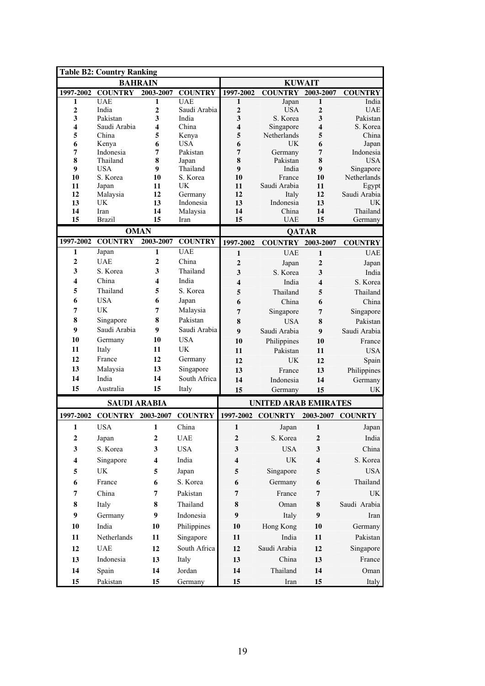| <b>Table B2: Country Ranking</b> |                     |                  |                       |                         |                             |                         |                        |
|----------------------------------|---------------------|------------------|-----------------------|-------------------------|-----------------------------|-------------------------|------------------------|
|                                  |                     | <b>BAHRAIN</b>   |                       |                         |                             | <b>KUWAIT</b>           |                        |
| 1997-2002                        | <b>COUNTRY</b>      | 2003-2007        | <b>COUNTRY</b>        | 1997-2002               | <b>COUNTRY</b>              | 2003-2007               | <b>COUNTRY</b>         |
| 1                                | <b>UAE</b>          | 1                | <b>UAE</b>            | 1                       | Japan                       | 1                       | India                  |
| $\boldsymbol{2}$<br>3            | India<br>Pakistan   | 2<br>3           | Saudi Arabia<br>India | $\boldsymbol{2}$<br>3   | <b>USA</b><br>S. Korea      | $\boldsymbol{2}$<br>3   | <b>UAE</b><br>Pakistan |
| $\overline{\mathbf{4}}$          | Saudi Arabia        | 4                | China                 | $\overline{\mathbf{4}}$ | Singapore                   | 4                       | S. Korea               |
| 5                                | China               | 5                | Kenya                 | 5                       | Netherlands                 | 5                       | China                  |
| 6                                | Kenya               | 6                | <b>USA</b>            | 6                       | <b>UK</b>                   | 6                       | Japan                  |
| 7                                | Indonesia           | 7                | Pakistan              | $\overline{7}$          | Germany                     | 7                       | Indonesia              |
| 8                                | Thailand            | 8                | Japan                 | 8                       | Pakistan                    | 8                       | <b>USA</b>             |
| 9                                | <b>USA</b>          | $\boldsymbol{9}$ | Thailand<br>S. Korea  | $\boldsymbol{9}$        | India                       | 9                       | Singapore              |
| 10<br>11                         | S. Korea<br>Japan   | 10<br>11         | <b>UK</b>             | 10<br>11                | France<br>Saudi Arabia      | 10<br>11                | Netherlands<br>Egypt   |
| 12                               | Malaysia            | 12               | Germany               | 12                      | Italy                       | 12                      | Saudi Arabia           |
| 13                               | UK                  | 13               | Indonesia             | 13                      | Indonesia                   | 13                      | UK                     |
| 14                               | Iran                | 14               | Malaysia              | 14                      | China                       | 14                      | Thailand               |
| 15                               | <b>Brazil</b>       | 15               | Iran                  | 15                      | <b>UAE</b>                  | 15                      | Germany                |
|                                  |                     | <b>OMAN</b>      |                       |                         |                             | <b>QATAR</b>            |                        |
| 1997-2002                        | <b>COUNTRY</b>      | 2003-2007        | <b>COUNTRY</b>        | 1997-2002               | <b>COUNTRY</b>              | 2003-2007               | <b>COUNTRY</b>         |
| 1                                | Japan               | 1                | <b>UAE</b>            | $\mathbf{1}$            | <b>UAE</b>                  | $\mathbf{1}$            | <b>UAE</b>             |
| $\boldsymbol{2}$                 | <b>UAE</b>          | $\overline{2}$   | China                 | $\overline{2}$          | Japan                       | $\overline{2}$          | Japan                  |
| 3                                | S. Korea            | 3                | Thailand              | 3                       | S. Korea                    | 3                       | India                  |
| $\overline{\mathbf{4}}$          | China               | 4                | India                 | $\overline{\mathbf{4}}$ | India                       | 4                       | S. Korea               |
| 5                                | Thailand            | 5                | S. Korea              | 5                       | Thailand                    | 5                       | Thailand               |
| 6                                | <b>USA</b>          | 6                | Japan                 | 6                       | China                       | 6                       | China                  |
| 7                                | UK                  | 7                | Malaysia              | 7                       | Singapore                   | 7                       | Singapore              |
| 8                                | Singapore           | 8                | Pakistan              | 8                       | <b>USA</b>                  | 8                       | Pakistan               |
| 9                                | Saudi Arabia        | 9                | Saudi Arabia          | 9                       | Saudi Arabia                | 9                       | Saudi Arabia           |
| 10                               | Germany             | 10               | <b>USA</b>            | 10                      | Philippines                 | 10                      | France                 |
| 11                               | Italy               | 11               | UK                    | 11                      | Pakistan                    | 11                      | <b>USA</b>             |
| 12                               | France              | 12               | Germany               | 12                      | UK                          | 12                      | Spain                  |
| 13                               | Malaysia            | 13               | Singapore             | 13                      | France                      | 13                      | Philippines            |
| 14                               | India               | 14               | South Africa          | 14                      | Indonesia                   | 14                      | Germany                |
| 15                               | Australia           | 15               | Italy                 | 15                      | Germany                     | 15                      | <b>UK</b>              |
|                                  | <b>SAUDI ARABIA</b> |                  |                       |                         | <b>UNITED ARAB EMIRATES</b> |                         |                        |
| 1997-2002                        | <b>COUNTRY</b>      | 2003-2007        | <b>COUNTRY</b>        | 1997-2002               | <b>COUNRTY</b>              | 2003-2007               | <b>COUNRTY</b>         |
| 1                                | <b>USA</b>          | 1                | China                 | $\mathbf{1}$            | Japan                       | 1                       | Japan                  |
| 2                                | Japan               | $\boldsymbol{2}$ | <b>UAE</b>            | $\boldsymbol{2}$        | S. Korea                    | $\boldsymbol{2}$        | India                  |
| 3                                | S. Korea            | 3                | <b>USA</b>            | 3                       | <b>USA</b>                  | 3                       | China                  |
| 4                                | Singapore           | $\boldsymbol{4}$ | India                 | $\overline{\mathbf{4}}$ | UK                          | $\overline{\mathbf{4}}$ | S. Korea               |
| 5                                | UK                  | 5                | Japan                 | 5                       | Singapore                   | 5                       | <b>USA</b>             |
|                                  | France              |                  |                       |                         |                             |                         | Thailand               |
| 6                                |                     | 6                | S. Korea              | 6                       | Germany                     | 6                       |                        |
| 7                                | China               | 7                | Pakistan              | $\overline{7}$          | France                      | 7                       | UK                     |
| 8                                | Italy               | 8                | Thailand              | 8                       | Oman                        | 8                       | Saudi Arabia           |
| 9                                | Germany             | 9                | Indonesia             | 9                       | Italy                       | 9                       | Iran                   |
| 10                               | India               | 10               | Philippines           | 10                      | Hong Kong                   | 10                      | Germany                |
| 11                               | Netherlands         | 11               | Singapore             | 11                      | India                       | 11                      | Pakistan               |
| 12                               | <b>UAE</b>          | 12               | South Africa          | 12                      | Saudi Arabia                | 12                      | Singapore              |
| 13                               | Indonesia           | 13               | Italy                 | 13                      | China                       | 13                      | France                 |
| 14                               | Spain               | 14               | Jordan                | 14                      | Thailand                    | 14                      | Oman                   |
|                                  |                     |                  |                       |                         |                             |                         |                        |
| 15                               | Pakistan            | 15               | Germany               | 15                      | Iran                        | $15\,$                  | Italy                  |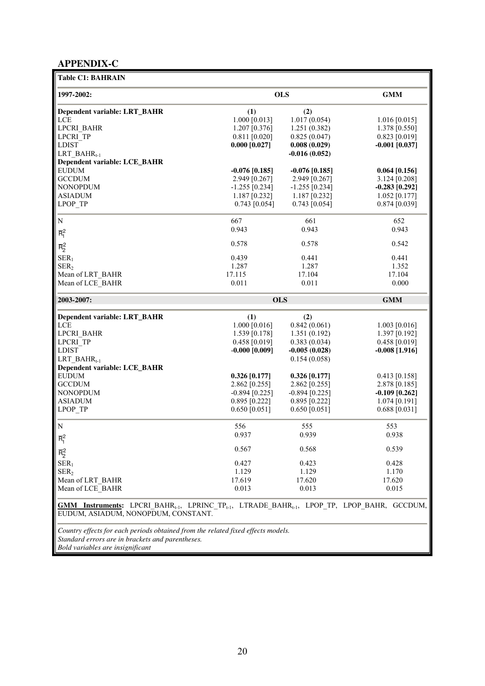# **APPENDIX-C**

| <b>Table C1: BAHRAIN</b>             |                  |                  |                  |
|--------------------------------------|------------------|------------------|------------------|
| 1997-2002:                           |                  | <b>OLS</b>       | <b>GMM</b>       |
| Dependent variable: LRT_BAHR         | (1)              | (2)              |                  |
| LCE                                  | 1.000 [0.013]    | 1.017(0.054)     | $1.016$ [0.015]  |
| LPCRI BAHR                           | 1.207 [0.376]    | 1.251(0.382)     | 1.378 [0.550]    |
| LPCRI TP                             | $0.811$ [0.020]  | 0.825(0.047)     | $0.823$ [0.019]  |
| <b>LDIST</b>                         | $0.000$ [0.027]  | 0.008(0.029)     | $-0.001$ [0.037] |
| LRT BAHR <sub>1-1</sub>              |                  | $-0.016(0.052)$  |                  |
| <b>Dependent variable: LCE_BAHR</b>  |                  |                  |                  |
| <b>EUDUM</b>                         | $-0.076$ [0.185] | $-0.076$ [0.185] | 0.064 [0.156]    |
| <b>GCCDUM</b>                        | 2.949 [0.267]    | 2.949 [0.267]    | $3.124$ [0.208]  |
| <b>NONOPDUM</b>                      | $-1.255$ [0.234] | $-1.255$ [0.234] | $-0.283$ [0.292] |
| <b>ASIADUM</b>                       | 1.187 [0.232]    | $1.187$ [0.232]  | $1.052$ [0.177]  |
| LPOP TP                              | $0.743$ [0.054]  | $0.743$ [0.054]  | $0.874$ [0.039]  |
| ${\bf N}$                            | 667              | 661              | 652              |
| $\overline{R}_{1}^{2}$               | 0.943            | 0.943            | 0.943            |
| $\overline{R}_2^2$                   | 0.578            | 0.578            | 0.542            |
| SER <sub>1</sub>                     | 0.439            | 0.441            | 0.441            |
| SER <sub>2</sub>                     | 1.287            | 1.287            | 1.352            |
| Mean of LRT_BAHR                     | 17.115           | 17.104           | 17.104           |
| Mean of LCE BAHR                     | 0.011            | 0.011            | 0.000            |
|                                      |                  |                  |                  |
|                                      |                  |                  |                  |
| 2003-2007:                           | <b>OLS</b>       |                  | <b>GMM</b>       |
| Dependent variable: LRT_BAHR         | (1)              | (2)              |                  |
| LCE                                  | $1.000$ [0.016]  | 0.842(0.061)     | $1.003$ [0.016]  |
| LPCRI BAHR                           | 1.539 [0.178]    | 1.351(0.192)     | 1.397 [0.192]    |
| LPCRI TP                             | $0.458$ [0.019]  | 0.383(0.034)     | $0.458$ [0.019]  |
| <b>LDIST</b>                         | $-0.000$ [0.009] | $-0.005(0.028)$  | $-0.008$ [1.916] |
| $LRT$ _BAH $R_{t-1}$                 |                  | 0.154(0.058)     |                  |
| <b>Dependent variable: LCE_BAHR</b>  |                  |                  |                  |
| <b>EUDUM</b>                         | 0.326 [0.177]    | 0.326 [0.177]    | $0.413$ [0.158]  |
| <b>GCCDUM</b>                        | 2.862 [0.255]    | 2.862 [0.255]    | 2.878 [0.185]    |
| <b>NONOPDUM</b>                      | $-0.894$ [0.225] | $-0.894$ [0.225] | $-0.109$ [0.262] |
| <b>ASIADUM</b>                       | $0.895$ [0.222]  | $0.895$ [0.222]  | $1.074$ [0.191]  |
| LPOP TP                              | $0.650$ [0.051]  | $0.650$ [0.051]  | 0.688 [0.031]    |
| N                                    | 556              | 555              | 553              |
| $\overline{R}_{1}^{2}$               | 0.937            | 0.939            | 0.938            |
|                                      | 0.567            | 0.568            | 0.539            |
| $\overline{R}_2^2$                   |                  | 0.423            |                  |
| $SER_1$                              | 0.427<br>1.129   | 1.129            | 0.428<br>1.170   |
| SER <sub>2</sub><br>Mean of LRT BAHR | 17.619           | 17.620           | 17.620           |
| Mean of LCE BAHR                     | 0.013            | 0.013            | 0.015            |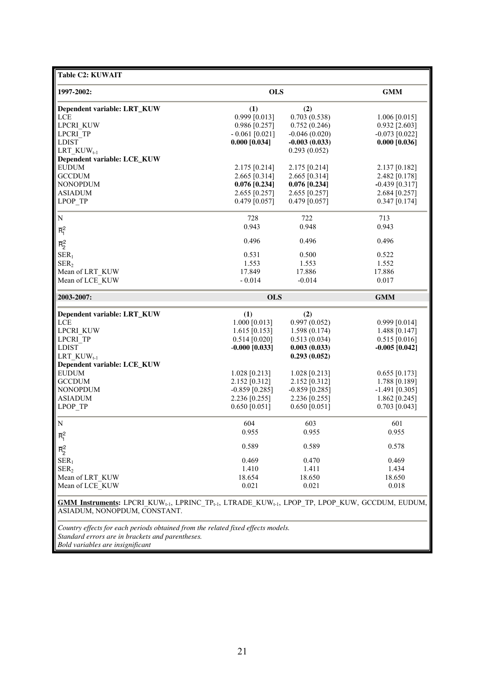| <b>Table C2: KUWAIT</b>                                                                                                                                                     |                  |                  |                  |
|-----------------------------------------------------------------------------------------------------------------------------------------------------------------------------|------------------|------------------|------------------|
| 1997-2002:                                                                                                                                                                  | <b>OLS</b>       | <b>GMM</b>       |                  |
| Dependent variable: LRT_KUW                                                                                                                                                 | (1)              | (2)              |                  |
| <b>LCE</b>                                                                                                                                                                  | $0.999$ [0.013]  | 0.703(0.538)     | $1.006$ [0.015]  |
| <b>LPCRI KUW</b>                                                                                                                                                            | $0.986$ [0.257]  | 0.752(0.246)     | $0.932$ [2.603]  |
| LPCRI TP                                                                                                                                                                    | $-0.061$ [0.021] | $-0.046(0.020)$  | $-0.073$ [0.022] |
| <b>LDIST</b>                                                                                                                                                                | $0.000$ [0.034]  | $-0.003(0.033)$  | $0.000$ [0.036]  |
| LRT $KUW_{t-1}$                                                                                                                                                             |                  | 0.293(0.052)     |                  |
| Dependent variable: LCE_KUW                                                                                                                                                 |                  |                  |                  |
| <b>EUDUM</b>                                                                                                                                                                | $2.175$ [0.214]  | 2.175 [0.214]    | $2.137$ [0.182]  |
| <b>GCCDUM</b>                                                                                                                                                               | $2.665$ [0.314]  | 2.665 [0.314]    | 2.482 [0.178]    |
| <b>NONOPDUM</b>                                                                                                                                                             | $0.076$ [0.234]  | $0.076$ [0.234]  | $-0.439$ [0.317] |
| <b>ASIADUM</b>                                                                                                                                                              | 2.655 [0.257]    | 2.655 [0.257]    | $2.684$ [0.257]  |
| LPOP TP                                                                                                                                                                     | $0.479$ [0.057]  | $0.479$ [0.057]  | $0.347$ [0.174]  |
| $\mathbf N$                                                                                                                                                                 | 728              | 722              | 713              |
| $\overline{R}_{1}^{2}$                                                                                                                                                      | 0.943            | 0.948            | 0.943            |
|                                                                                                                                                                             | 0.496            | 0.496            | 0.496            |
| $\overline{R}_2^2$                                                                                                                                                          |                  |                  |                  |
| SER <sub>1</sub>                                                                                                                                                            | 0.531            | 0.500            | 0.522            |
| SER <sub>2</sub>                                                                                                                                                            | 1.553            | 1.553            | 1.552            |
| Mean of LRT KUW                                                                                                                                                             | 17.849           | 17.886           | 17.886           |
| Mean of LCE KUW                                                                                                                                                             | $-0.014$         | $-0.014$         | 0.017            |
| 2003-2007:                                                                                                                                                                  | <b>OLS</b>       |                  | <b>GMM</b>       |
| Dependent variable: LRT_KUW                                                                                                                                                 | (1)              | (2)              |                  |
| <b>LCE</b>                                                                                                                                                                  | $1.000$ [0.013]  | 0.997(0.052)     | $0.999$ [0.014]  |
| <b>LPCRI KUW</b>                                                                                                                                                            | $1.615$ [0.153]  | 1.598(0.174)     | 1.488 [0.147]    |
| LPCRI TP                                                                                                                                                                    | $0.514$ [0.020]  | 0.513(0.034)     | $0.515$ [0.016]  |
| <b>LDIST</b>                                                                                                                                                                | $-0.000$ [0.033] | 0.003(0.033)     | $-0.005$ [0.042] |
| LRT $KUW_{t-1}$                                                                                                                                                             |                  | 0.293(0.052)     |                  |
| Dependent variable: LCE_KUW                                                                                                                                                 |                  |                  |                  |
| <b>EUDUM</b>                                                                                                                                                                | $1.028$ [0.213]  | $1.028$ [0.213]  | $0.655$ [0.173]  |
| <b>GCCDUM</b>                                                                                                                                                               | 2.152 [0.312]    | 2.152 [0.312]    | 1.788 [0.189]    |
| <b>NONOPDUM</b>                                                                                                                                                             | $-0.859$ [0.285] | $-0.859$ [0.285] | $-1.491$ [0.305] |
| <b>ASIADUM</b>                                                                                                                                                              | 2.236 [0.255]    | 2.236 [0.255]    | $1.862$ [0.245]  |
| LPOP TP                                                                                                                                                                     | $0.650$ [0.051]  | $0.650$ [0.051]  | $0.703$ [0.043]  |
| N                                                                                                                                                                           | 604              | 603              | 601              |
| $\overline{R}_{1}^{2}$                                                                                                                                                      | 0.955            | 0.955            | 0.955            |
|                                                                                                                                                                             | 0.589            | 0.589            | 0.578            |
| $\overline{R}_2^2$                                                                                                                                                          |                  |                  |                  |
| SER <sub>1</sub>                                                                                                                                                            | 0.469            | 0.470            | 0.469            |
| SER <sub>2</sub>                                                                                                                                                            | 1.410            | 1.411            | 1.434            |
| Mean of LRT KUW                                                                                                                                                             | 18.654           | 18.650           | 18.650           |
| Mean of LCE KUW                                                                                                                                                             | 0.021            | 0.021            | 0.018            |
| <b>GMM Instruments:</b> LPCRI_KUW <sub>t-1</sub> , LPRINC_TP <sub>t-1</sub> , LTRADE_KUW <sub>t-1</sub> , LPOP_TP, LPOP_KUW, GCCDUM, EUDUM,<br>ASIADUM, NONOPDUM, CONSTANT. |                  |                  |                  |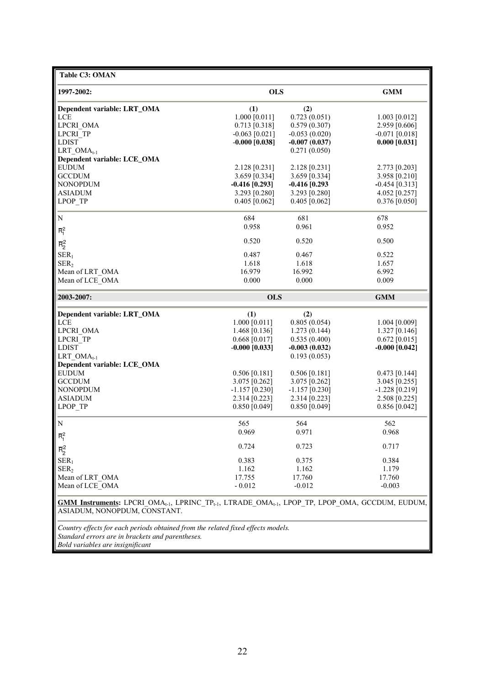| Table C3: OMAN                                                                                                                                                              |                  |                  |                  |
|-----------------------------------------------------------------------------------------------------------------------------------------------------------------------------|------------------|------------------|------------------|
| 1997-2002:                                                                                                                                                                  | <b>OLS</b>       |                  | <b>GMM</b>       |
| Dependent variable: LRT_OMA                                                                                                                                                 | (1)              | (2)              |                  |
| LCE                                                                                                                                                                         | $1.000$ [0.011]  | 0.723(0.051)     | $1.003$ [0.012]  |
| LPCRI OMA                                                                                                                                                                   | $0.713$ [0.318]  | 0.579(0.307)     | 2.959 [0.606]    |
| LPCRI TP                                                                                                                                                                    | $-0.063$ [0.021] | $-0.053(0.020)$  | $-0.071$ [0.018] |
| <b>LDIST</b>                                                                                                                                                                | $-0.000$ [0.038] | $-0.007(0.037)$  | $0.000$ [0.031]  |
| LRT $OMA_{t-1}$                                                                                                                                                             |                  | 0.271(0.050)     |                  |
| Dependent variable: LCE_OMA                                                                                                                                                 |                  |                  |                  |
| <b>EUDUM</b>                                                                                                                                                                | 2.128 [0.231]    | 2.128 [0.231]    | 2.773 [0.203]    |
| <b>GCCDUM</b>                                                                                                                                                               | 3.659 [0.334]    | 3.659 [0.334]    | 3.958 [0.210]    |
| <b>NONOPDUM</b>                                                                                                                                                             | $-0.416$ [0.293] | $-0.416$ [0.293  | $-0.454$ [0.313] |
| <b>ASIADUM</b>                                                                                                                                                              | 3.293 [0.280]    | 3.293 [0.280]    | 4.052 [0.257]    |
| LPOP TP                                                                                                                                                                     | $0.405$ [0.062]  | $0.405$ [0.062]  | $0.376$ [0.050]  |
| N                                                                                                                                                                           | 684              | 681              | 678              |
|                                                                                                                                                                             | 0.958            | 0.961            | 0.952            |
| $\overline{R}_1^2$                                                                                                                                                          | 0.520            | 0.520            | 0.500            |
| $\overline{R}_2^2$                                                                                                                                                          |                  |                  |                  |
| SER <sub>1</sub>                                                                                                                                                            | 0.487            | 0.467            | 0.522            |
| SER <sub>2</sub>                                                                                                                                                            | 1.618            | 1.618            | 1.657            |
| Mean of LRT OMA                                                                                                                                                             | 16.979           | 16.992           | 6.992            |
| Mean of LCE OMA                                                                                                                                                             | 0.000            | 0.000            | 0.009            |
|                                                                                                                                                                             |                  |                  |                  |
| 2003-2007:                                                                                                                                                                  | <b>OLS</b>       |                  | <b>GMM</b>       |
| Dependent variable: LRT_OMA                                                                                                                                                 | (1)              | (2)              |                  |
| LCE                                                                                                                                                                         | 1.000 [0.011]    | 0.805(0.054)     | 1.004 [0.009]    |
| LPCRI OMA                                                                                                                                                                   | 1.468 $[0.136]$  | 1.273(0.144)     | $1.327$ [0.146]  |
| LPCRI TP                                                                                                                                                                    | $0.668$ [0.017]  | 0.535(0.400)     | $0.672$ [0.015]  |
| <b>LDIST</b>                                                                                                                                                                | $-0.000$ [0.033] | $-0.003(0.032)$  | $-0.000$ [0.042] |
| LRT $OMA_{t-1}$                                                                                                                                                             |                  | 0.193(0.053)     |                  |
| Dependent variable: LCE_OMA                                                                                                                                                 |                  |                  |                  |
| <b>EUDUM</b>                                                                                                                                                                | $0.506$ [0.181]  | $0.506$ [0.181]  | $0.473$ [0.144]  |
| <b>GCCDUM</b>                                                                                                                                                               | 3.075 [0.262]    | 3.075 [0.262]    | 3.045 [0.255]    |
| <b>NONOPDUM</b>                                                                                                                                                             | $-1.157$ [0.230] | $-1.157$ [0.230] | $-1.228$ [0.219] |
| <b>ASIADUM</b>                                                                                                                                                              | $2.314$ [0.223]  | 2.314 [0.223]    | 2.508 [0.225]    |
| LPOP TP                                                                                                                                                                     | $0.850$ [0.049]  | $0.850$ [0.049]  | $0.856$ [0.042]  |
| N                                                                                                                                                                           | 565              | 564              | 562              |
| $\overline{R}_1^2$                                                                                                                                                          | 0.969            | 0.971            | 0.968            |
|                                                                                                                                                                             | 0.724            | 0.723            | 0.717            |
| $\overline{R}_2^2$                                                                                                                                                          |                  |                  |                  |
| SER <sub>1</sub>                                                                                                                                                            | 0.383            | 0.375            | 0.384            |
| SER <sub>2</sub>                                                                                                                                                            | 1.162            | 1.162            | 1.179            |
| Mean of LRT OMA                                                                                                                                                             | 17.755           | 17.760           | 17.760           |
| Mean of LCE OMA                                                                                                                                                             | $-0.012$         | $-0.012$         | $-0.003$         |
| <b>GMM Instruments:</b> LPCRI_OMA <sub>t-1</sub> , LPRINC_TP <sub>t-1</sub> , LTRADE_OMA <sub>t-1</sub> , LPOP_TP, LPOP_OMA, GCCDUM, EUDUM,<br>ASIADUM, NONOPDUM, CONSTANT. |                  |                  |                  |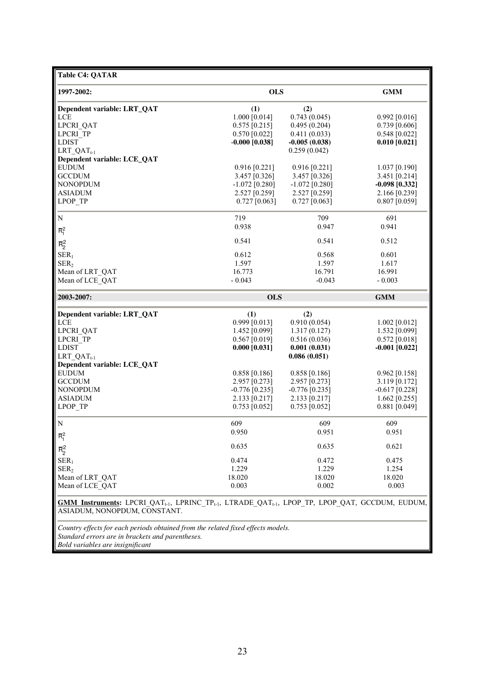| <b>Table C4: QATAR</b>                                                                                                                      |                  |                  |                  |
|---------------------------------------------------------------------------------------------------------------------------------------------|------------------|------------------|------------------|
| 1997-2002:                                                                                                                                  | <b>OLS</b>       |                  | <b>GMM</b>       |
| Dependent variable: LRT_QAT                                                                                                                 | (1)              | (2)              |                  |
| LCE                                                                                                                                         | 1.000 [0.014]    | 0.743(0.045)     | $0.992$ [0.016]  |
| LPCRI QAT                                                                                                                                   | $0.575$ [0.215]  | 0.495(0.204)     | $0.739$ [0.606]  |
| LPCRI TP                                                                                                                                    | $0.570$ [0.022]  | 0.411(0.033)     | $0.548$ [0.022]  |
| <b>LDIST</b>                                                                                                                                | $-0.000$ [0.038] | $-0.005(0.038)$  | $0.010$ [0.021]  |
| LRT $QAT_{t-1}$                                                                                                                             |                  | 0.259(0.042)     |                  |
| Dependent variable: LCE_QAT                                                                                                                 |                  |                  |                  |
| <b>EUDUM</b>                                                                                                                                | $0.916$ [0.221]  | $0.916$ [0.221]  | $1.037$ [0.190]  |
| <b>GCCDUM</b>                                                                                                                               | 3.457 [0.326]    | 3.457 [0.326]    | 3.451 [0.214]    |
| <b>NONOPDUM</b>                                                                                                                             | $-1.072$ [0.280] | $-1.072$ [0.280] | $-0.098$ [0.332] |
| <b>ASIADUM</b>                                                                                                                              | 2.527 [0.259]    | 2.527 [0.259]    | 2.166 [0.239]    |
| LPOP TP                                                                                                                                     | $0.727$ [0.063]  | $0.727$ [0.063]  | $0.807$ [0.059]  |
|                                                                                                                                             |                  |                  |                  |
| N                                                                                                                                           | 719              | 709              | 691              |
|                                                                                                                                             | 0.938            | 0.947            | 0.941            |
| $\overline{R}_1^2$                                                                                                                          |                  |                  |                  |
| $\overline{\mathsf{R}}^2_2$                                                                                                                 | 0.541            | 0.541            | 0.512            |
| SER <sub>1</sub>                                                                                                                            | 0.612            | 0.568            | 0.601            |
| SER <sub>2</sub>                                                                                                                            | 1.597            | 1.597            | 1.617            |
| Mean of LRT QAT                                                                                                                             | 16.773           | 16.791           | 16.991           |
| Mean of LCE QAT                                                                                                                             | $-0.043$         | $-0.043$         | $-0.003$         |
|                                                                                                                                             |                  |                  |                  |
| 2003-2007:                                                                                                                                  | <b>OLS</b>       |                  | <b>GMM</b>       |
| Dependent variable: LRT_QAT                                                                                                                 | (1)              | (2)              |                  |
| LCE                                                                                                                                         | 0.999 [0.013]    | 0.910(0.054)     | $1.002$ [0.012]  |
| LPCRI QAT                                                                                                                                   | 1.452 [0.099]    | 1.317(0.127)     | 1.532 [0.099]    |
| LPCRI TP                                                                                                                                    | $0.567$ [0.019]  | 0.516(0.036)     | $0.572$ [0.018]  |
| <b>LDIST</b>                                                                                                                                |                  |                  |                  |
|                                                                                                                                             | $0.000$ [0.031]  | 0.001(0.031)     | $-0.001$ [0.022] |
| $LRT\_QAT_{t-1}$                                                                                                                            |                  | 0.086(0.051)     |                  |
| Dependent variable: LCE_QAT                                                                                                                 |                  |                  |                  |
| <b>EUDUM</b>                                                                                                                                | $0.858$ [0.186]  | $0.858$ [0.186]  | $0.962$ [0.158]  |
| <b>GCCDUM</b>                                                                                                                               | 2.957 [0.273]    | 2.957 [0.273]    | 3.119 [0.172]    |
| <b>NONOPDUM</b>                                                                                                                             | $-0.776$ [0.235] | $-0.776$ [0.235] | $-0.617$ [0.228] |
| <b>ASIADUM</b>                                                                                                                              | 2.133 [0.217]    | 2.133 [0.217]    | 1.662 $[0.255]$  |
| LPOP TP                                                                                                                                     | $0.753$ [0.052]  | $0.753$ [0.052]  | $0.881$ [0.049]  |
| N                                                                                                                                           | 609              | 609              | 609              |
|                                                                                                                                             | 0.950            | 0.951            | 0.951            |
| $\overline{R}_1^2$                                                                                                                          |                  |                  |                  |
| $\overline{R}_2^2$                                                                                                                          | 0.635            | 0.635            | 0.621            |
| SER <sub>1</sub>                                                                                                                            | 0.474            | 0.472            | 0.475            |
| SER <sub>2</sub>                                                                                                                            | 1.229            | 1.229            | 1.254            |
| Mean of LRT QAT                                                                                                                             | 18.020           | 18.020           | 18.020           |
|                                                                                                                                             |                  |                  |                  |
| Mean of LCE QAT                                                                                                                             | 0.003            | 0.002            | 0.003            |
| <b>GMM Instruments:</b> LPCRI_QAT <sub>t-1</sub> , LPRINC_TP <sub>t-1</sub> , LTRADE_QAT <sub>t-1</sub> , LPOP_TP, LPOP_QAT, GCCDUM, EUDUM, |                  |                  |                  |
| ASIADUM, NONOPDUM, CONSTANT.                                                                                                                |                  |                  |                  |
|                                                                                                                                             |                  |                  |                  |
|                                                                                                                                             |                  |                  |                  |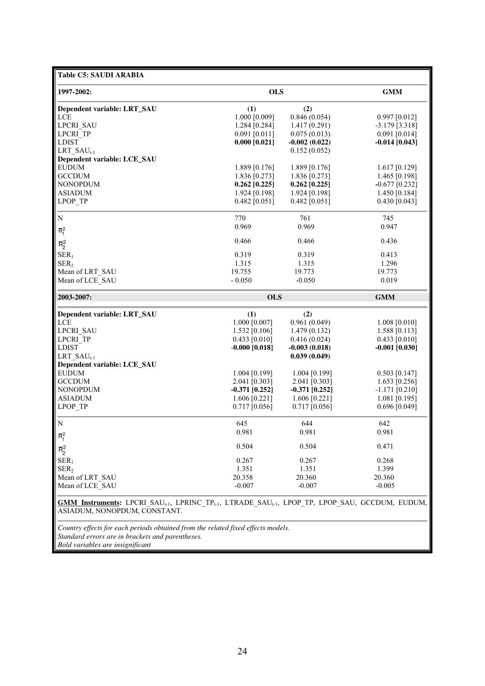| <b>Table C5: SAUDI ARABIA</b>                                                                                                                                               |                  |                  |                  |
|-----------------------------------------------------------------------------------------------------------------------------------------------------------------------------|------------------|------------------|------------------|
| 1997-2002:                                                                                                                                                                  | <b>OLS</b>       | <b>GMM</b>       |                  |
| Dependent variable: LRT_SAU                                                                                                                                                 | (1)              | (2)              |                  |
| <b>LCE</b>                                                                                                                                                                  | 1.000 [0.009]    | 0.846(0.054)     | $0.997$ [0.012]  |
| <b>LPCRI SAU</b>                                                                                                                                                            | 1.284 [0.284]    | 1.417(0.291)     | $-3.179$ [3.318] |
| LPCRI TP                                                                                                                                                                    | $0.091$ [0.011]  | 0.075(0.013)     | $0.091$ [0.014]  |
| <b>LDIST</b>                                                                                                                                                                | $0.000$ [0.021]  | $-0.002(0.022)$  | $-0.014$ [0.043] |
| LRT $SAU_{t-1}$                                                                                                                                                             |                  | 0.152(0.052)     |                  |
| Dependent variable: LCE_SAU                                                                                                                                                 |                  |                  |                  |
| <b>EUDUM</b>                                                                                                                                                                | 1.889 [0.176]    | 1.889 [0.176]    | $1.617$ [0.129]  |
| <b>GCCDUM</b>                                                                                                                                                               | 1.836 [0.273]    | 1.836 [0.273]    | 1.465 [0.198]    |
| <b>NONOPDUM</b>                                                                                                                                                             | $0.262$ [0.225]  | $0.262$ [0.225]  | $-0.677$ [0.232] |
| <b>ASIADUM</b>                                                                                                                                                              | 1.924 [0.198]    | 1.924 [0.198]    | 1.450 [0.184]    |
| LPOP TP                                                                                                                                                                     | $0.482$ [0.051]  | $0.482$ [0.051]  | $0.430$ [0.043]  |
| N                                                                                                                                                                           | 770              | 761              | 745              |
|                                                                                                                                                                             | 0.969            | 0.969            | 0.947            |
| $\overline{R}_{1}^{2}$                                                                                                                                                      |                  |                  |                  |
| $\overline{R}_2^2$                                                                                                                                                          | 0.466            | 0.466            | 0.436            |
| SER <sub>1</sub>                                                                                                                                                            | 0.319            | 0.319            | 0.413            |
| SER <sub>2</sub>                                                                                                                                                            | 1.315            | 1.315            | 1.296            |
| Mean of LRT_SAU                                                                                                                                                             | 19.755           | 19.773           | 19.773           |
| Mean of LCE SAU                                                                                                                                                             | $-0.050$         | $-0.050$         | 0.019            |
|                                                                                                                                                                             |                  |                  |                  |
| 2003-2007:                                                                                                                                                                  | <b>OLS</b>       |                  | <b>GMM</b>       |
| Dependent variable: LRT_SAU                                                                                                                                                 | (1)              | (2)              |                  |
| <b>LCE</b>                                                                                                                                                                  | 1.000 [0.007]    | 0.961(0.049)     | $1.008$ [0.010]  |
| <b>LPCRI SAU</b>                                                                                                                                                            | $1.532$ [0.106]  | 1.479(0.132)     | 1.588 [0.113]    |
| LPCRI TP                                                                                                                                                                    | $0.433$ [0.010]  | 0.416(0.024)     | $0.433$ [0.010]  |
| <b>LDIST</b>                                                                                                                                                                | $-0.000$ [0.018] | $-0.003(0.018)$  | $-0.001$ [0.030] |
| LRT $SAU_{t-1}$                                                                                                                                                             |                  | 0.039(0.049)     |                  |
| Dependent variable: LCE_SAU                                                                                                                                                 |                  |                  |                  |
| <b>EUDUM</b>                                                                                                                                                                | $1.004$ [0.199]  | $1.004$ [0.199]  | $0.503$ [0.147]  |
| <b>GCCDUM</b>                                                                                                                                                               | 2.041 [0.303]    | 2.041 [0.303]    | 1.653 [0.256]    |
| <b>NONOPDUM</b>                                                                                                                                                             | $-0.371$ [0.252] | $-0.371$ [0.252] | $-1.171$ [0.210] |
| <b>ASIADUM</b>                                                                                                                                                              | 1.606 $[0.221]$  | $1.606$ [0.221]  | $1.081$ [0.195]  |
| LPOP TP                                                                                                                                                                     | $0.717$ [0.056]  | $0.717$ [0.056]  | $0.696$ [0.049]  |
| N                                                                                                                                                                           | 645              | 644              | 642              |
| $\overline{R}_{1}^{2}$                                                                                                                                                      | 0.981            | 0.981            | 0.981            |
|                                                                                                                                                                             | 0.504            | 0.504            | 0.471            |
| $\overline{\mathsf{R}}^2_2$                                                                                                                                                 |                  |                  |                  |
| SER <sub>1</sub>                                                                                                                                                            | 0.267            | 0.267            | 0.268            |
| SER <sub>2</sub>                                                                                                                                                            | 1.351            | 1.351            | 1.399            |
| Mean of LRT SAU                                                                                                                                                             | 20.358           | 20.360           | 20.360           |
| Mean of LCE SAU                                                                                                                                                             | $-0.007$         | $-0.007$         | $-0.005$         |
| <b>GMM Instruments:</b> LPCRI_SAU <sub>t-1</sub> , LPRINC_TP <sub>t-1</sub> , LTRADE_SAU <sub>t-1</sub> , LPOP_TP, LPOP_SAU, GCCDUM, EUDUM,<br>ASIADUM, NONOPDUM, CONSTANT. |                  |                  |                  |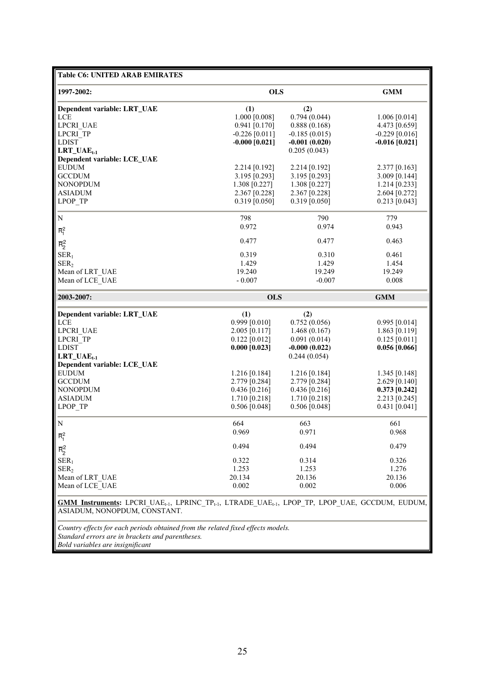| <b>Table C6: UNITED ARAB EMIRATES</b> |                                                                                                                                             |                 |                  |  |  |  |  |
|---------------------------------------|---------------------------------------------------------------------------------------------------------------------------------------------|-----------------|------------------|--|--|--|--|
| 1997-2002:                            | <b>OLS</b>                                                                                                                                  |                 | <b>GMM</b>       |  |  |  |  |
| Dependent variable: LRT_UAE           | (1)                                                                                                                                         | (2)             |                  |  |  |  |  |
| LCE                                   | 1.000 [0.008]                                                                                                                               | 0.794(0.044)    | $1.006$ [0.014]  |  |  |  |  |
| LPCRI UAE                             | $0.941$ [0.170]                                                                                                                             | 0.888(0.168)    | 4.473 [0.659]    |  |  |  |  |
| LPCRI TP                              | $-0.226$ [0.011]                                                                                                                            | $-0.185(0.015)$ | $-0.229$ [0.016] |  |  |  |  |
| <b>LDIST</b>                          | $-0.000$ [0.021]                                                                                                                            | $-0.001(0.020)$ | $-0.016$ [0.021] |  |  |  |  |
| $LRT\_UAE_{t-1}$                      |                                                                                                                                             | 0.205(0.043)    |                  |  |  |  |  |
| Dependent variable: LCE_UAE           |                                                                                                                                             |                 |                  |  |  |  |  |
| <b>EUDUM</b>                          | 2.214 [0.192]                                                                                                                               | 2.214 [0.192]   | 2.377 [0.163]    |  |  |  |  |
| <b>GCCDUM</b>                         | 3.195 [0.293]                                                                                                                               | 3.195 [0.293]   | 3.009 [0.144]    |  |  |  |  |
| <b>NONOPDUM</b>                       | 1.308 [0.227]                                                                                                                               | 1.308 [0.227]   | $1.214$ [0.233]  |  |  |  |  |
| <b>ASIADUM</b>                        | 2.367 [0.228]                                                                                                                               | 2.367 [0.228]   | 2.604 [0.272]    |  |  |  |  |
| LPOP TP                               | $0.319$ [0.050]                                                                                                                             | $0.319$ [0.050] | $0.213$ [0.043]  |  |  |  |  |
|                                       |                                                                                                                                             |                 |                  |  |  |  |  |
| N                                     | 798                                                                                                                                         | 790             | 779              |  |  |  |  |
| $\overline{R}_1^2$                    | 0.972                                                                                                                                       | 0.974           | 0.943            |  |  |  |  |
| $\overline{\mathsf{R}}^2_2$           | 0.477                                                                                                                                       | 0.477           | 0.463            |  |  |  |  |
| SER <sub>1</sub>                      | 0.319                                                                                                                                       | 0.310           | 0.461            |  |  |  |  |
| SER <sub>2</sub>                      | 1.429                                                                                                                                       | 1.429           | 1.454            |  |  |  |  |
| Mean of LRT_UAE                       | 19.240                                                                                                                                      | 19.249          | 19.249           |  |  |  |  |
|                                       |                                                                                                                                             |                 |                  |  |  |  |  |
| Mean of LCE UAE                       | $-0.007$                                                                                                                                    | $-0.007$        | 0.008            |  |  |  |  |
| 2003-2007:                            | <b>OLS</b>                                                                                                                                  |                 | <b>GMM</b>       |  |  |  |  |
| Dependent variable: LRT_UAE           | (1)                                                                                                                                         | (2)             |                  |  |  |  |  |
| LCE                                   | $0.999$ [0.010]                                                                                                                             | 0.752(0.056)    | $0.995$ [0.014]  |  |  |  |  |
| LPCRI UAE                             | 2.005 [0.117]                                                                                                                               | 1.468(0.167)    | 1.863 [0.119]    |  |  |  |  |
| LPCRI TP                              | $0.122$ [0.012]                                                                                                                             | 0.091(0.014)    | $0.125$ [0.011]  |  |  |  |  |
| <b>LDIST</b>                          | $0.000$ [0.023]                                                                                                                             | $-0.000(0.022)$ | 0.056 [0.066]    |  |  |  |  |
| $LRT\_UAE_{t-1}$                      |                                                                                                                                             | 0.244(0.054)    |                  |  |  |  |  |
| Dependent variable: LCE_UAE           |                                                                                                                                             |                 |                  |  |  |  |  |
| <b>EUDUM</b>                          | $1.216$ [0.184]                                                                                                                             | $1.216$ [0.184] | 1.345 $[0.148]$  |  |  |  |  |
| <b>GCCDUM</b>                         | 2.779 [0.284]                                                                                                                               | 2.779 [0.284]   | 2.629 [0.140]    |  |  |  |  |
| <b>NONOPDUM</b>                       | $0.436$ [0.216]                                                                                                                             | $0.436$ [0.216] | $0.373$ [0.242]  |  |  |  |  |
| <b>ASIADUM</b>                        | 1.710 [0.218]                                                                                                                               | 1.710 [0.218]   | 2.213 [0.245]    |  |  |  |  |
| LPOP TP                               | $0.506$ [0.048]                                                                                                                             | $0.506$ [0.048] | $0.431$ [0.041]  |  |  |  |  |
|                                       |                                                                                                                                             |                 |                  |  |  |  |  |
| N                                     | 664                                                                                                                                         | 663             | 661              |  |  |  |  |
| $\overline{R}_1^2$                    | 0.969                                                                                                                                       | 0.971           | 0.968            |  |  |  |  |
| $\overline{R}_2^2$                    | 0.494                                                                                                                                       | 0.494           | 0.479            |  |  |  |  |
| SER <sub>1</sub>                      | 0.322                                                                                                                                       | 0.314           | 0.326            |  |  |  |  |
| SER <sub>2</sub>                      | 1.253                                                                                                                                       | 1.253           | 1.276            |  |  |  |  |
|                                       | 20.134                                                                                                                                      | 20.136          |                  |  |  |  |  |
| Mean of LRT UAE                       |                                                                                                                                             |                 | 20.136           |  |  |  |  |
| Mean of LCE UAE                       | 0.002                                                                                                                                       | 0.002           | 0.006            |  |  |  |  |
|                                       | <b>GMM Instruments:</b> LPCRI_UAE <sub>t-1</sub> , LPRINC_TP <sub>t-1</sub> , LTRADE_UAE <sub>t-1</sub> , LPOP_TP, LPOP_UAE, GCCDUM, EUDUM, |                 |                  |  |  |  |  |
| ASIADUM, NONOPDUM, CONSTANT.          |                                                                                                                                             |                 |                  |  |  |  |  |
|                                       |                                                                                                                                             |                 |                  |  |  |  |  |